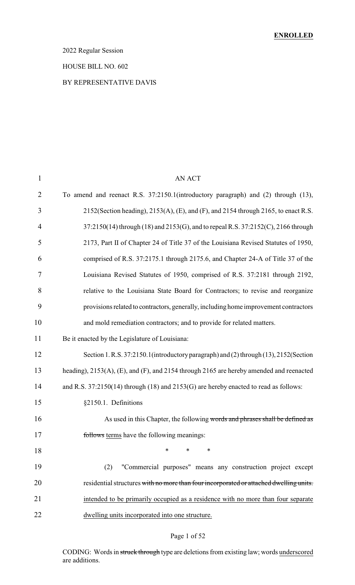## 2022 Regular Session

#### HOUSE BILL NO. 602

## BY REPRESENTATIVE DAVIS

| $\mathbf{1}$   | <b>AN ACT</b>                                                                           |  |  |  |
|----------------|-----------------------------------------------------------------------------------------|--|--|--|
| $\overline{2}$ | To amend and reenact R.S. 37:2150.1(introductory paragraph) and (2) through (13),       |  |  |  |
| 3              | 2152(Section heading), 2153(A), (E), and (F), and 2154 through 2165, to enact R.S.      |  |  |  |
| 4              | 37:2150(14) through (18) and 2153(G), and to repeal R.S. 37:2152(C), 2166 through       |  |  |  |
| 5              | 2173, Part II of Chapter 24 of Title 37 of the Louisiana Revised Statutes of 1950,      |  |  |  |
| 6              | comprised of R.S. 37:2175.1 through 2175.6, and Chapter 24-A of Title 37 of the         |  |  |  |
| 7              | Louisiana Revised Statutes of 1950, comprised of R.S. 37:2181 through 2192,             |  |  |  |
| 8              | relative to the Louisiana State Board for Contractors; to revise and reorganize         |  |  |  |
| 9              | provisions related to contractors, generally, including home improvement contractors    |  |  |  |
| 10             | and mold remediation contractors; and to provide for related matters.                   |  |  |  |
| 11             | Be it enacted by the Legislature of Louisiana:                                          |  |  |  |
| 12             | Section 1. R.S. 37:2150.1 (introductory paragraph) and (2) through (13), 2152 (Section  |  |  |  |
| 13             | heading), 2153(A), (E), and (F), and 2154 through 2165 are hereby amended and reenacted |  |  |  |
| 14             | and R.S. 37:2150(14) through (18) and 2153(G) are hereby enacted to read as follows:    |  |  |  |
| 15             | §2150.1. Definitions                                                                    |  |  |  |
| 16             | As used in this Chapter, the following words and phrases shall be defined as            |  |  |  |
| 17             | follows terms have the following meanings:                                              |  |  |  |
| 18             | *<br>*<br>∗                                                                             |  |  |  |
| 19             | "Commercial purposes" means any construction project except<br>(2)                      |  |  |  |
| 20             | residential structures with no more than four incorporated or attached dwelling units.  |  |  |  |
| 21             | intended to be primarily occupied as a residence with no more than four separate        |  |  |  |
| 22             | dwelling units incorporated into one structure.                                         |  |  |  |
|                |                                                                                         |  |  |  |

## Page 1 of 52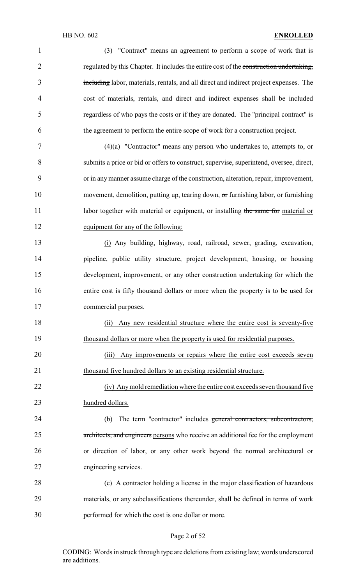| $\mathbf{1}$   | (3) "Contract" means an agreement to perform a scope of work that is                    |
|----------------|-----------------------------------------------------------------------------------------|
| $\overline{2}$ | regulated by this Chapter. It includes the entire cost of the construction undertaking, |
| 3              | including labor, materials, rentals, and all direct and indirect project expenses. The  |
| 4              | cost of materials, rentals, and direct and indirect expenses shall be included          |
| 5              | regardless of who pays the costs or if they are donated. The "principal contract" is    |
| 6              | the agreement to perform the entire scope of work for a construction project.           |
| 7              | $(4)(a)$ "Contractor" means any person who undertakes to, attempts to, or               |
| 8              | submits a price or bid or offers to construct, supervise, superintend, oversee, direct, |
| 9              | or in any manner assume charge of the construction, alteration, repair, improvement,    |
| 10             | movement, demolition, putting up, tearing down, or furnishing labor, or furnishing      |
| 11             | labor together with material or equipment, or installing the same for material or       |
| 12             | equipment for any of the following:                                                     |
| 13             | (i) Any building, highway, road, railroad, sewer, grading, excavation,                  |
| 14             | pipeline, public utility structure, project development, housing, or housing            |
| 15             | development, improvement, or any other construction undertaking for which the           |
| 16             | entire cost is fifty thousand dollars or more when the property is to be used for       |
| 17             | commercial purposes.                                                                    |
| 18             | Any new residential structure where the entire cost is seventy-five<br>(ii)             |
| 19             | thousand dollars or more when the property is used for residential purposes.            |
| 20             | Any improvements or repairs where the entire cost exceeds seven<br>(iii)                |
| 21             | thousand five hundred dollars to an existing residential structure.                     |
| 22             | (iv) Any mold remediation where the entire cost exceeds seven thousand five             |
| 23             | hundred dollars.                                                                        |
| 24             | The term "contractor" includes general contractors, subcontractors,<br>(b)              |
| 25             | architects, and engineers persons who receive an additional fee for the employment      |
| 26             | or direction of labor, or any other work beyond the normal architectural or             |
| 27             | engineering services.                                                                   |
| 28             | (c) A contractor holding a license in the major classification of hazardous             |
| 29             | materials, or any subclassifications thereunder, shall be defined in terms of work      |
| 30             | performed for which the cost is one dollar or more.                                     |

# Page 2 of 52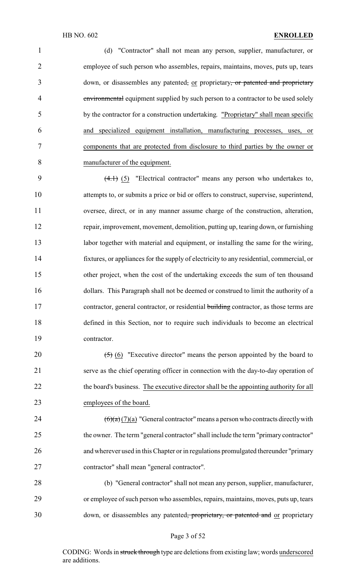(d) "Contractor" shall not mean any person, supplier, manufacturer, or employee of such person who assembles, repairs, maintains, moves, puts up, tears 3 down, or disassembles any patented, or proprietary, or patented and proprietary 4 environmental equipment supplied by such person to a contractor to be used solely by the contractor for a construction undertaking. "Proprietary" shall mean specific and specialized equipment installation, manufacturing processes, uses, or components that are protected from disclosure to third parties by the owner or manufacturer of the equipment.

 (4.1) (5) "Electrical contractor" means any person who undertakes to, attempts to, or submits a price or bid or offers to construct, supervise, superintend, oversee, direct, or in any manner assume charge of the construction, alteration, repair, improvement, movement, demolition, putting up, tearing down, or furnishing 13 labor together with material and equipment, or installing the same for the wiring, fixtures, or appliances for the supply of electricity to any residential, commercial, or other project, when the cost of the undertaking exceeds the sum of ten thousand dollars. This Paragraph shall not be deemed or construed to limit the authority of a 17 contractor, general contractor, or residential building contractor, as those terms are defined in this Section, nor to require such individuals to become an electrical contractor.

 $(5)$  (6) "Executive director" means the person appointed by the board to serve as the chief operating officer in connection with the day-to-day operation of 22 the board's business. The executive director shall be the appointing authority for all employees of the board.

 $\left(\frac{6}{a}\right)\left(\frac{7}{a}\right)$  "General contractor" means a person who contracts directly with the owner. The term "general contractor" shall include the term "primary contractor" and wherever used in this Chapter or in regulations promulgated thereunder "primary contractor" shall mean "general contractor".

 (b) "General contractor" shall not mean any person, supplier, manufacturer, or employee of such person who assembles, repairs, maintains, moves, puts up, tears 30 down, or disassembles any patented, proprietary, or patented and or proprietary

#### Page 3 of 52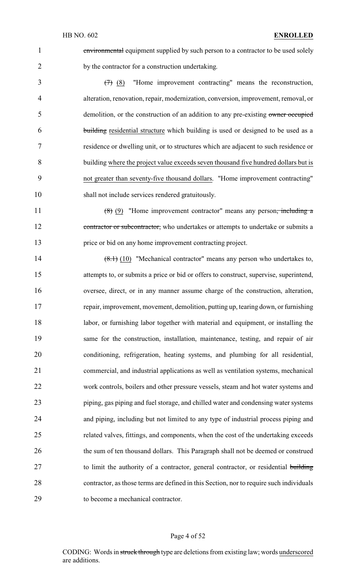environmental equipment supplied by such person to a contractor to be used solely by the contractor for a construction undertaking.

 (7) (8) "Home improvement contracting" means the reconstruction, alteration, renovation, repair, modernization, conversion, improvement, removal, or 5 demolition, or the construction of an addition to any pre-existing owner occupied building residential structure which building is used or designed to be used as a residence or dwelling unit, or to structures which are adjacent to such residence or building where the project value exceeds seven thousand five hundred dollars but is not greater than seventy-five thousand dollars. "Home improvement contracting" shall not include services rendered gratuitously.

11 (8) (9) "Home improvement contractor" means any person<del>, including a</del> 12 contractor or subcontractor, who undertakes or attempts to undertake or submits a price or bid on any home improvement contracting project.

14 (8.1) (10) "Mechanical contractor" means any person who undertakes to, attempts to, or submits a price or bid or offers to construct, supervise, superintend, oversee, direct, or in any manner assume charge of the construction, alteration, repair, improvement, movement, demolition, putting up, tearing down, or furnishing labor, or furnishing labor together with material and equipment, or installing the same for the construction, installation, maintenance, testing, and repair of air conditioning, refrigeration, heating systems, and plumbing for all residential, commercial, and industrial applications as well as ventilation systems, mechanical work controls, boilers and other pressure vessels, steam and hot water systems and piping, gas piping and fuel storage, and chilled water and condensing water systems and piping, including but not limited to any type of industrial process piping and related valves, fittings, and components, when the cost of the undertaking exceeds the sum of ten thousand dollars. This Paragraph shall not be deemed or construed 27 to limit the authority of a contractor, general contractor, or residential building contractor, as those terms are defined in this Section, nor to require such individuals to become a mechanical contractor.

### Page 4 of 52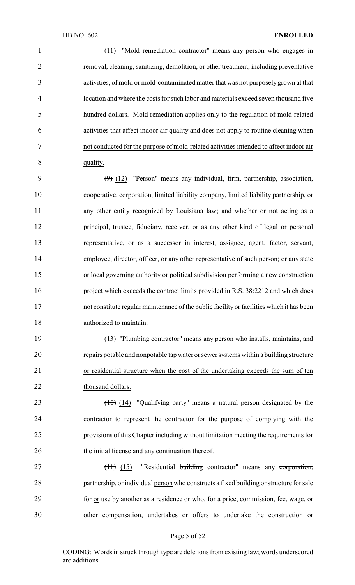| $\mathbf{1}$   | "Mold remediation contractor" means any person who engages in                          |
|----------------|----------------------------------------------------------------------------------------|
| $\overline{2}$ | removal, cleaning, sanitizing, demolition, or other treatment, including preventative  |
| 3              | activities, of mold or mold-contaminated matter that was not purposely grown at that   |
| $\overline{4}$ | location and where the costs for such labor and materials exceed seven thousand five   |
| 5              | hundred dollars. Mold remediation applies only to the regulation of mold-related       |
| 6              | activities that affect indoor air quality and does not apply to routine cleaning when  |
| 7              | not conducted for the purpose of mold-related activities intended to affect indoor air |
| 8              | quality.                                                                               |
|                |                                                                                        |

 $(9)$  (12) "Person" means any individual, firm, partnership, association, cooperative, corporation, limited liability company, limited liability partnership, or any other entity recognized by Louisiana law; and whether or not acting as a principal, trustee, fiduciary, receiver, or as any other kind of legal or personal representative, or as a successor in interest, assignee, agent, factor, servant, employee, director, officer, or any other representative of such person; or any state or local governing authority or political subdivision performing a new construction project which exceeds the contract limits provided in R.S. 38:2212 and which does not constitute regular maintenance of the public facility or facilities which it has been authorized to maintain.

 (13) "Plumbing contractor" means any person who installs, maintains, and repairs potable and nonpotable tap water or sewer systems within a building structure or residential structure when the cost of the undertaking exceeds the sum of ten 22 thousand dollars.

 $(10)(14)$  "Qualifying party" means a natural person designated by the contractor to represent the contractor for the purpose of complying with the provisions of this Chapter including without limitation meeting the requirements for the initial license and any continuation thereof.

27 (11) (15) "Residential building contractor" means any corporation, 28 partnership, or individual person who constructs a fixed building or structure for sale for or use by another as a residence or who, for a price, commission, fee, wage, or other compensation, undertakes or offers to undertake the construction or

#### Page 5 of 52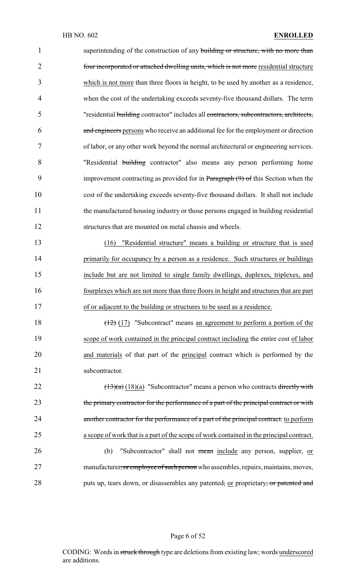1 superintending of the construction of any building or structure, with no more than 2 four incorporated or attached dwelling units, which is not more residential structure which is not more than three floors in height, to be used by another as a residence, when the cost of the undertaking exceeds seventy-five thousand dollars. The term "residential building contractor" includes all contractors, subcontractors, architects, 6 and engineers persons who receive an additional fee for the employment or direction of labor, or any other work beyond the normal architectural or engineering services. "Residential building contractor" also means any person performing home improvement contracting as provided for in Paragraph (9) of this Section when the cost of the undertaking exceeds seventy-five thousand dollars. It shall not include the manufactured housing industry or those persons engaged in building residential structures that are mounted on metal chassis and wheels.

 (16) "Residential structure" means a building or structure that is used 14 primarily for occupancy by a person as a residence. Such structures or buildings include but are not limited to single family dwellings, duplexes, triplexes, and fourplexes which are not more than three floors in height and structures that are part of or adjacent to the building or structures to be used as a residence.

18 (12) (17) "Subcontract" means an agreement to perform a portion of the 19 scope of work contained in the principal contract including the entire cost of labor 20 and materials of that part of the principal contract which is performed by the 21 subcontractor.

22  $\left(\frac{(13)}{a}\right)\left(\frac{18}{a}\right)$  "Subcontractor" means a person who contracts directly with 23 the primary contractor for the performance of a part of the principal contract or with 24 another contractor for the performance of a part of the principal contract. to perform 25 a scope of work that is a part of the scope of work contained in the principal contract.

26 (b) "Subcontractor" shall not mean include any person, supplier, or 27 manufacturer, or employee of such person who assembles, repairs, maintains, moves, 28 puts up, tears down, or disassembles any patented, or proprietary, or patented and

### Page 6 of 52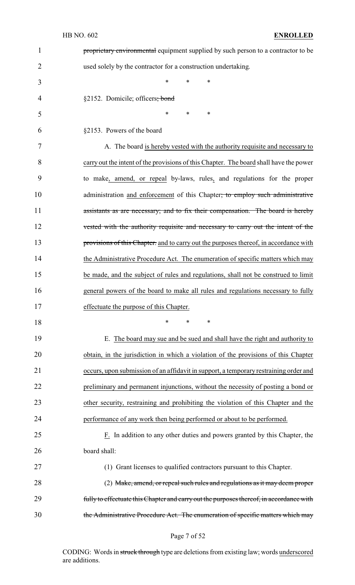| $\mathbf{1}$   | proprietary environmental equipment supplied by such person to a contractor to be         |  |  |  |  |
|----------------|-------------------------------------------------------------------------------------------|--|--|--|--|
| $\overline{2}$ | used solely by the contractor for a construction undertaking.                             |  |  |  |  |
| 3              | $\ast$<br>∗<br>*                                                                          |  |  |  |  |
| 4              | §2152. Domicile; officers; bond                                                           |  |  |  |  |
| 5              | *<br>$\ast$<br>∗                                                                          |  |  |  |  |
| 6              | §2153. Powers of the board                                                                |  |  |  |  |
| 7              | A. The board is hereby vested with the authority requisite and necessary to               |  |  |  |  |
| 8              | carry out the intent of the provisions of this Chapter. The board shall have the power    |  |  |  |  |
| 9              | to make, amend, or repeal by-laws, rules, and regulations for the proper                  |  |  |  |  |
| 10             | administration and enforcement of this Chapter <del>; to employ such administrative</del> |  |  |  |  |
| 11             | assistants as are necessary; and to fix their compensation. The board is hereby           |  |  |  |  |
| 12             | vested with the authority requisite and necessary to carry out the intent of the          |  |  |  |  |
| 13             | provisions of this Chapter. and to carry out the purposes thereof, in accordance with     |  |  |  |  |
| 14             | the Administrative Procedure Act. The enumeration of specific matters which may           |  |  |  |  |
| 15             | be made, and the subject of rules and regulations, shall not be construed to limit        |  |  |  |  |
| 16             | general powers of the board to make all rules and regulations necessary to fully          |  |  |  |  |
| 17             | effectuate the purpose of this Chapter.                                                   |  |  |  |  |
| 18             | ∗<br>*<br>∗                                                                               |  |  |  |  |
| 19             | The board may sue and be sued and shall have the right and authority to<br>Е.             |  |  |  |  |
| 20             | obtain, in the jurisdiction in which a violation of the provisions of this Chapter        |  |  |  |  |
| 21             | occurs, upon submission of an affidavit in support, a temporary restraining order and     |  |  |  |  |
| 22             | preliminary and permanent injunctions, without the necessity of posting a bond or         |  |  |  |  |
| 23             | other security, restraining and prohibiting the violation of this Chapter and the         |  |  |  |  |
| 24             | performance of any work then being performed or about to be performed.                    |  |  |  |  |
| 25             | F. In addition to any other duties and powers granted by this Chapter, the                |  |  |  |  |
| 26             | board shall:                                                                              |  |  |  |  |
| 27             | (1) Grant licenses to qualified contractors pursuant to this Chapter.                     |  |  |  |  |
| 28             | (2) Make, amend, or repeal such rules and regulations as it may deem proper               |  |  |  |  |
| 29             | fully to effectuate this Chapter and carry out the purposes thereof, in accordance with   |  |  |  |  |
| 30             | the Administrative Procedure Act. The enumeration of specific matters which may           |  |  |  |  |

Page 7 of 52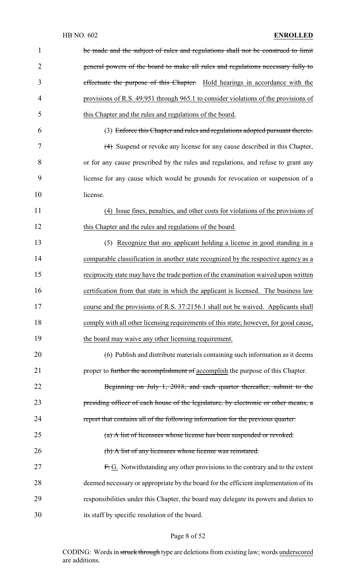| $\mathbf{1}$   | be made and the subject of rules and regulations shall not be construed to limit     |
|----------------|--------------------------------------------------------------------------------------|
| $\overline{2}$ | general powers of the board to make all rules and regulations necessary fully to     |
| 3              | effectuate the purpose of this Chapter. Hold hearings in accordance with the         |
| 4              | provisions of R.S. 49:951 through 965.1 to consider violations of the provisions of  |
| 5              | this Chapter and the rules and regulations of the board.                             |
| 6              | (3) Enforce this Chapter and rules and regulations adopted pursuant thereto.         |
| 7              | (4) Suspend or revoke any license for any cause described in this Chapter,           |
| 8              | or for any cause prescribed by the rules and regulations, and refuse to grant any    |
| 9              | license for any cause which would be grounds for revocation or suspension of a       |
| 10             | license.                                                                             |
| 11             | (4) Issue fines, penalties, and other costs for violations of the provisions of      |
| 12             | this Chapter and the rules and regulations of the board.                             |
| 13             | (5) Recognize that any applicant holding a license in good standing in a             |
| 14             | comparable classification in another state recognized by the respective agency as a  |
| 15             | reciprocity state may have the trade portion of the examination waived upon written  |
| 16             | certification from that state in which the applicant is licensed. The business law   |
| 17             | course and the provisions of R.S. 37:2156.1 shall not be waived. Applicants shall    |
| 18             | comply with all other licensing requirements of this state; however, for good cause, |
| 19             | the board may waive any other licensing requirement.                                 |
| 20             | (6) Publish and distribute materials containing such information as it deems         |
| 21             | proper to further the accomplishment of accomplish the purpose of this Chapter.      |
| 22             | Beginning on July 1, 2018, and each quarter thereafter, submit to the                |
| 23             | presiding officer of each house of the legislature, by electronic or other means, a  |
| 24             | report that contains all of the following information for the previous quarter:      |
| 25             | (a) A list of licensees whose license has been suspended or revoked.                 |
| 26             | (b) A list of any licensees whose license was reinstated.                            |
| 27             | F. G. Notwithstanding any other provisions to the contrary and to the extent         |
| 28             | deemed necessary or appropriate by the board for the efficient implementation of its |
| 29             | responsibilities under this Chapter, the board may delegate its powers and duties to |
| 30             | its staff by specific resolution of the board.                                       |

# Page 8 of 52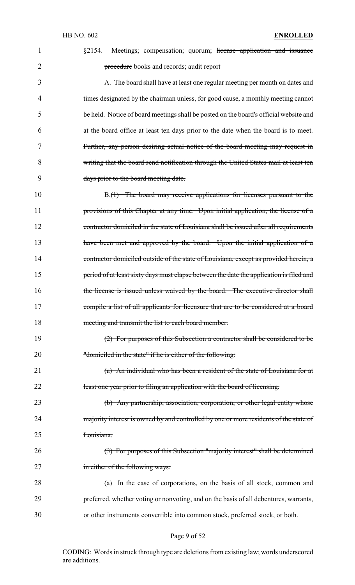| 1              | Meetings; compensation; quorum; license application and issuance<br>\$2154.             |
|----------------|-----------------------------------------------------------------------------------------|
| $\overline{2}$ | procedure books and records; audit report                                               |
| 3              | A. The board shall have at least one regular meeting per month on dates and             |
| 4              | times designated by the chairman unless, for good cause, a monthly meeting cannot       |
| 5              | be held. Notice of board meetings shall be posted on the board's official website and   |
| 6              | at the board office at least ten days prior to the date when the board is to meet.      |
| 7              | Further, any person desiring actual notice of the board meeting may request in          |
| 8              | writing that the board send notification through the United States mail at least ten    |
| 9              | days prior to the board meeting date.                                                   |
| 10             | B.(1) The board may receive applications for licenses pursuant to the                   |
| 11             | provisions of this Chapter at any time. Upon initial application, the license of a      |
| 12             | contractor domiciled in the state of Louisiana shall be issued after all requirements   |
| 13             | have been met and approved by the board. Upon the initial application of a              |
| 14             | contractor domiciled outside of the state of Louisiana, except as provided herein, a    |
| 15             | period of at least sixty days must elapse between the date the application is filed and |
| 16             | the license is issued unless waived by the board. The executive director shall          |
| 17             | compile a list of all applicants for licensure that are to be considered at a board     |
| 18             | meeting and transmit the list to each board member.                                     |
| 19             | (2) For purposes of this Subsection a contractor shall be considered to be              |
| 20             | "domiciled in the state" if he is either of the following:                              |
| 21             | (a) An individual who has been a resident of the state of Louisiana for at              |
| 22             | least one year prior to filing an application with the board of licensing.              |
| 23             | (b) Any partnership, association, corporation, or other legal entity whose              |
| 24             | majority interest is owned by and controlled by one or more residents of the state of   |
| 25             | Louisiana.                                                                              |
| 26             | (3) For purposes of this Subsection "majority interest" shall be determined             |
| 27             | in either of the following ways:                                                        |
| 28             | (a) In the case of corporations, on the basis of all stock, common and                  |
| 29             | preferred, whether voting or nonvoting, and on the basis of all debentures, warrants,   |
| 30             | or other instruments convertible into common stock, preferred stock, or both.           |

## Page 9 of 52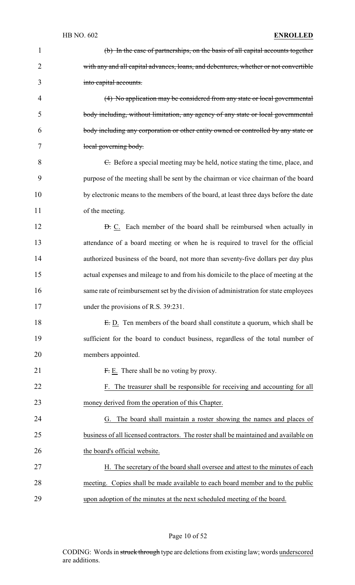HB NO. 602 **ENROLLED** (b) In the case of partnerships, on the basis of all capital accounts together 2 with any and all capital advances, loans, and debentures, whether or not convertible into capital accounts. (4) No application may be considered from any state or local governmental body including, without limitation, any agency of any state or local governmental body including any corporation or other entity owned or controlled by any state or 7 local governing body. 8 6. Before a special meeting may be held, notice stating the time, place, and purpose of the meeting shall be sent by the chairman or vice chairman of the board by electronic means to the members of the board, at least three days before the date 11 of the meeting. **D.** C. Each member of the board shall be reimbursed when actually in attendance of a board meeting or when he is required to travel for the official 14 authorized business of the board, not more than seventy-five dollars per day plus actual expenses and mileage to and from his domicile to the place of meeting at the same rate of reimbursement set by the division of administration for state employees 17 under the provisions of R.S. 39:231. 18 E.D. Ten members of the board shall constitute a quorum, which shall be sufficient for the board to conduct business, regardless of the total number of members appointed.  $F: E.$  There shall be no voting by proxy. F. The treasurer shall be responsible for receiving and accounting for all money derived from the operation of this Chapter. G. The board shall maintain a roster showing the names and places of business of all licensed contractors. The roster shall be maintained and available on 26 the board's official website. H. The secretary of the board shall oversee and attest to the minutes of each meeting. Copies shall be made available to each board member and to the public

upon adoption of the minutes at the next scheduled meeting of the board.

### Page 10 of 52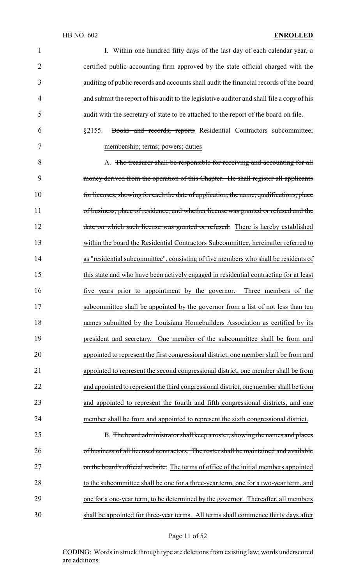| 1              | I. Within one hundred fifty days of the last day of each calendar year, a                  |
|----------------|--------------------------------------------------------------------------------------------|
| $\overline{2}$ | certified public accounting firm approved by the state official charged with the           |
| 3              | auditing of public records and accounts shall audit the financial records of the board     |
| 4              | and submit the report of his audit to the legislative auditor and shall file a copy of his |
| 5              | audit with the secretary of state to be attached to the report of the board on file.       |
| 6              | Books and records; reports Residential Contractors subcommittee;<br>§2155.                 |
| 7              | membership; terms; powers; duties                                                          |
| 8              | A. The treasurer shall be responsible for receiving and accounting for all                 |
| 9              | money derived from the operation of this Chapter. He shall register all applicants         |
| 10             | for licenses, showing for each the date of application, the name, qualifications, place    |
| 11             | of business, place of residence, and whether license was granted or refused and the        |
| 12             | date on which such license was granted or refused. There is hereby established             |
| 13             | within the board the Residential Contractors Subcommittee, hereinafter referred to         |
| 14             | as "residential subcommittee", consisting of five members who shall be residents of        |
| 15             | this state and who have been actively engaged in residential contracting for at least      |
| 16             | five years prior to appointment by the governor.<br>Three members of the                   |
| 17             | subcommittee shall be appointed by the governor from a list of not less than ten           |
| 18             | names submitted by the Louisiana Homebuilders Association as certified by its              |
| 19             | president and secretary. One member of the subcommittee shall be from and                  |
| 20             | appointed to represent the first congressional district, one member shall be from and      |
| 21             | appointed to represent the second congressional district, one member shall be from         |
| 22             | and appointed to represent the third congressional district, one member shall be from      |
| 23             | and appointed to represent the fourth and fifth congressional districts, and one           |
| 24             | member shall be from and appointed to represent the sixth congressional district.          |
| 25             | B. The board administrator shall keep a roster, showing the names and places               |
| 26             | of business of all licensed contractors. The roster shall be maintained and available      |
| 27             | on the board's official website. The terms of office of the initial members appointed      |
| 28             | to the subcommittee shall be one for a three-year term, one for a two-year term, and       |
| 29             | one for a one-year term, to be determined by the governor. Thereafter, all members         |
| 30             | shall be appointed for three-year terms. All terms shall commence thirty days after        |

# Page 11 of 52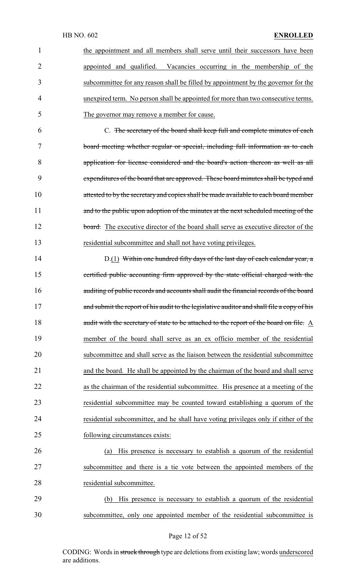| $\mathbf{1}$   | the appointment and all members shall serve until their successors have been               |
|----------------|--------------------------------------------------------------------------------------------|
| $\overline{2}$ | appointed and qualified. Vacancies occurring in the membership of the                      |
| 3              | subcommittee for any reason shall be filled by appointment by the governor for the         |
| 4              | unexpired term. No person shall be appointed for more than two consecutive terms.          |
| 5              | The governor may remove a member for cause.                                                |
| 6              | C. The secretary of the board shall keep full and complete minutes of each                 |
| 7              | board meeting whether regular or special, including full information as to each            |
| 8              | application for license considered and the board's action thereon as well as all           |
| 9              | expenditures of the board that are approved. These board minutes shall be typed and        |
| 10             | attested to by the secretary and copies shall be made available to each board member       |
| 11             | and to the public upon adoption of the minutes at the next scheduled meeting of the        |
| 12             | board. The executive director of the board shall serve as executive director of the        |
| 13             | residential subcommittee and shall not have voting privileges.                             |
| 14             | D.(1) Within one hundred fifty days of the last day of each calendar year, a               |
| 15             | certified public accounting firm approved by the state official charged with the           |
| 16             | auditing of public records and accounts shall audit the financial records of the board     |
| 17             | and submit the report of his audit to the legislative auditor and shall file a copy of his |
| 18             | audit with the secretary of state to be attached to the report of the board on file. A     |
| 19             | member of the board shall serve as an ex officio member of the residential                 |
| 20             | subcommittee and shall serve as the liaison between the residential subcommittee           |
| 21             | and the board. He shall be appointed by the chairman of the board and shall serve          |
| 22             | as the chairman of the residential subcommittee. His presence at a meeting of the          |
| 23             | residential subcommittee may be counted toward establishing a quorum of the                |
| 24             | residential subcommittee, and he shall have voting privileges only if either of the        |
| 25             | following circumstances exists:                                                            |
| 26             | His presence is necessary to establish a quorum of the residential<br>(a)                  |
| 27             | subcommittee and there is a tie vote between the appointed members of the                  |
| 28             | residential subcommittee.                                                                  |
| 29             | His presence is necessary to establish a quorum of the residential<br>(b)                  |
|                |                                                                                            |

## Page 12 of 52

30 subcommittee, only one appointed member of the residential subcommittee is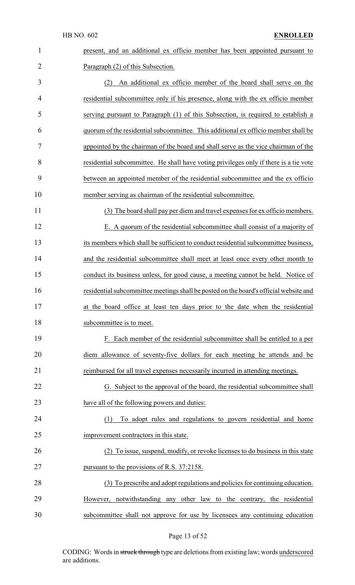| $\mathbf{1}$   | present, and an additional ex officio member has been appointed pursuant to           |
|----------------|---------------------------------------------------------------------------------------|
| $\overline{2}$ | Paragraph (2) of this Subsection.                                                     |
| 3              | An additional ex officio member of the board shall serve on the<br>(2)                |
| $\overline{4}$ | residential subcommittee only if his presence, along with the ex officio member       |
| 5              | serving pursuant to Paragraph (1) of this Subsection, is required to establish a      |
| 6              | quorum of the residential subcommittee. This additional ex officio member shall be    |
| 7              | appointed by the chairman of the board and shall serve as the vice chairman of the    |
| 8              | residential subcommittee. He shall have voting privileges only if there is a tie vote |
| 9              | between an appointed member of the residential subcommittee and the ex officio        |
| 10             | member serving as chairman of the residential subcommittee.                           |
| 11             | (3) The board shall pay per diem and travel expenses for ex officio members.          |
| 12             | E. A quorum of the residential subcommittee shall consist of a majority of            |
| 13             | its members which shall be sufficient to conduct residential subcommittee business,   |
| 14             | and the residential subcommittee shall meet at least once every other month to        |
| 15             | conduct its business unless, for good cause, a meeting cannot be held. Notice of      |
| 16             | residential subcommittee meetings shall be posted on the board's official website and |
| 17             | at the board office at least ten days prior to the date when the residential          |
| 18             | subcommittee is to meet.                                                              |
| 19             | F. Each member of the residential subcommittee shall be entitled to a per             |
| 20             | diem allowance of seventy-five dollars for each meeting he attends and be             |
| 21             | reimbursed for all travel expenses necessarily incurred in attending meetings.        |
| 22             | G. Subject to the approval of the board, the residential subcommittee shall           |
| 23             | have all of the following powers and duties:                                          |
| 24             | To adopt rules and regulations to govern residential and home<br>(1)                  |
| 25             | improvement contractors in this state.                                                |
| 26             | (2) To issue, suspend, modify, or revoke licenses to do business in this state        |
| 27             | pursuant to the provisions of R.S. 37:2158.                                           |
| 28             | (3) To prescribe and adopt regulations and policies for continuing education.         |
| 29             | However, notwithstanding any other law to the contrary, the residential               |
| 30             | subcommittee shall not approve for use by licensees any continuing education          |

Page 13 of 52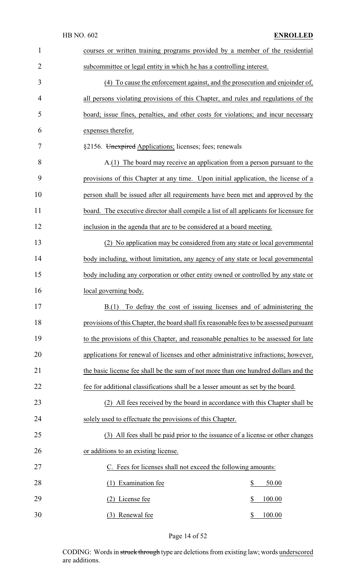|                | HB NO. 602<br><b>ENROLLED</b>                                                           |  |  |  |
|----------------|-----------------------------------------------------------------------------------------|--|--|--|
| $\mathbf{1}$   | courses or written training programs provided by a member of the residential            |  |  |  |
| $\overline{2}$ | subcommittee or legal entity in which he has a controlling interest.                    |  |  |  |
| 3              | (4) To cause the enforcement against, and the prosecution and enjoinder of,             |  |  |  |
| 4              | all persons violating provisions of this Chapter, and rules and regulations of the      |  |  |  |
| 5              | board; issue fines, penalties, and other costs for violations; and incur necessary      |  |  |  |
| 6              | expenses therefor.                                                                      |  |  |  |
| 7              | §2156. Unexpired Applications; licenses; fees; renewals                                 |  |  |  |
| 8              | A.(1) The board may receive an application from a person pursuant to the                |  |  |  |
| 9              | provisions of this Chapter at any time. Upon initial application, the license of a      |  |  |  |
| 10             | person shall be issued after all requirements have been met and approved by the         |  |  |  |
| 11             | board. The executive director shall compile a list of all applicants for licensure for  |  |  |  |
| 12             | inclusion in the agenda that are to be considered at a board meeting.                   |  |  |  |
| 13             | (2) No application may be considered from any state or local governmental               |  |  |  |
| 14             | body including, without limitation, any agency of any state or local governmental       |  |  |  |
| 15             | body including any corporation or other entity owned or controlled by any state or      |  |  |  |
| 16             | <u>local</u> governing body.                                                            |  |  |  |
| 17             | To defray the cost of issuing licenses and of administering the<br>B(1)                 |  |  |  |
| 18             | provisions of this Chapter, the board shall fix reasonable fees to be assessed pursuant |  |  |  |
| 19             | to the provisions of this Chapter, and reasonable penalties to be assessed for late     |  |  |  |
| 20             | applications for renewal of licenses and other administrative infractions; however,     |  |  |  |
| 21             | the basic license fee shall be the sum of not more than one hundred dollars and the     |  |  |  |
| 22             | fee for additional classifications shall be a lesser amount as set by the board.        |  |  |  |
| 23             | All fees received by the board in accordance with this Chapter shall be                 |  |  |  |
| 24             | solely used to effectuate the provisions of this Chapter.                               |  |  |  |
| 25             | (3) All fees shall be paid prior to the issuance of a license or other changes          |  |  |  |
| 26             | or additions to an existing license.                                                    |  |  |  |
| 27             | C. Fees for licenses shall not exceed the following amounts:                            |  |  |  |
| 28             | $\frac{1}{2}$<br><b>Examination</b> fee<br>50.00<br>(1)                                 |  |  |  |
| 29             | \$<br>License fee<br>100.00<br>(2)                                                      |  |  |  |
| 30             | (3) Renewal fee<br>100.00<br>\$                                                         |  |  |  |

# Page 14 of 52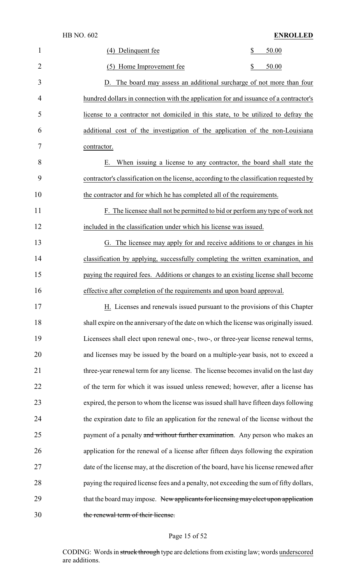|                | (4) Delinquent fee       | 50.00 |
|----------------|--------------------------|-------|
| $\overline{2}$ | (5) Home Improvement fee | 50.00 |

 D. The board may assess an additional surcharge of not more than four hundred dollars in connection with the application for and issuance of a contractor's license to a contractor not domiciled in this state, to be utilized to defray the additional cost of the investigation of the application of the non-Louisiana contractor.

 E. When issuing a license to any contractor, the board shall state the contractor's classification on the license, according to the classification requested by the contractor and for which he has completed all of the requirements.

 F. The licensee shall not be permitted to bid or perform any type of work not included in the classification under which his license was issued.

 G. The licensee may apply for and receive additions to or changes in his classification by applying, successfully completing the written examination, and paying the required fees. Additions or changes to an existing license shall become effective after completion of the requirements and upon board approval.

17 H. Licenses and renewals issued pursuant to the provisions of this Chapter shall expire on the anniversaryof the date on which the license was originally issued. Licensees shall elect upon renewal one-, two-, or three-year license renewal terms, and licenses may be issued by the board on a multiple-year basis, not to exceed a 21 three-year renewal term for any license. The license becomes invalid on the last day of the term for which it was issued unless renewed; however, after a license has expired, the person to whom the license was issued shall have fifteen days following the expiration date to file an application for the renewal of the license without the 25 payment of a penalty and without further examination. Any person who makes an application for the renewal of a license after fifteen days following the expiration 27 date of the license may, at the discretion of the board, have his license renewed after 28 paying the required license fees and a penalty, not exceeding the sum of fifty dollars, 29 that the board may impose. New applicants for licensing may elect upon application the renewal term of their license.

### Page 15 of 52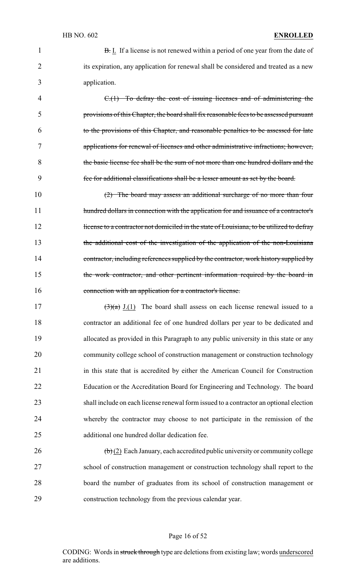**B.** I. If a license is not renewed within a period of one year from the date of 2 its expiration, any application for renewal shall be considered and treated as a new application.

 C.(1) To defray the cost of issuing licenses and of administering the provisions of this Chapter, the board shall fix reasonable fees to be assessed pursuant to the provisions of this Chapter, and reasonable penalties to be assessed for late applications for renewal of licenses and other administrative infractions; however, the basic license fee shall be the sum of not more than one hundred dollars and the fee for additional classifications shall be a lesser amount as set by the board.

 (2) The board may assess an additional surcharge of no more than four 11 hundred dollars in connection with the application for and issuance of a contractor's 12 license to a contractor not domiciled in the state of Louisiana, to be utilized to defray the additional cost of the investigation of the application of the non-Louisiana 14 contractor, including references supplied by the contractor, work history supplied by 15 the work contractor, and other pertinent information required by the board in 16 connection with an application for a contractor's license.

17 (3)(a) J.(1) The board shall assess on each license renewal issued to a contractor an additional fee of one hundred dollars per year to be dedicated and allocated as provided in this Paragraph to any public university in this state or any community college school of construction management or construction technology in this state that is accredited by either the American Council for Construction Education or the Accreditation Board for Engineering and Technology. The board shall include on each license renewal form issued to a contractor an optional election whereby the contractor may choose to not participate in the remission of the additional one hundred dollar dedication fee.

 (b) (2) Each January, each accredited public university or community college school of construction management or construction technology shall report to the board the number of graduates from its school of construction management or construction technology from the previous calendar year.

#### Page 16 of 52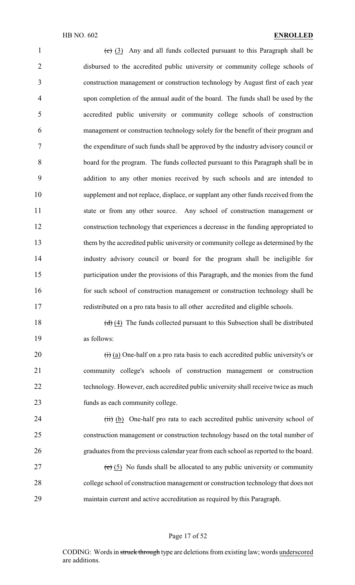$\left(\frac{c}{c}\right)$  (3) Any and all funds collected pursuant to this Paragraph shall be disbursed to the accredited public university or community college schools of construction management or construction technology by August first of each year upon completion of the annual audit of the board. The funds shall be used by the accredited public university or community college schools of construction management or construction technology solely for the benefit of their program and the expenditure of such funds shall be approved by the industry advisory council or board for the program. The funds collected pursuant to this Paragraph shall be in addition to any other monies received by such schools and are intended to supplement and not replace, displace, or supplant any other funds received from the state or from any other source. Any school of construction management or construction technology that experiences a decrease in the funding appropriated to them by the accredited public university or community college as determined by the industry advisory council or board for the program shall be ineligible for participation under the provisions of this Paragraph, and the monies from the fund for such school of construction management or construction technology shall be redistributed on a pro rata basis to all other accredited and eligible schools.

18 (d) (4) The funds collected pursuant to this Subsection shall be distributed as follows:

 $\left(\frac{1}{1}\right)$  (a) One-half on a pro rata basis to each accredited public university's or community college's schools of construction management or construction 22 technology. However, each accredited public university shall receive twice as much funds as each community college.

 (iii) (b) One-half pro rata to each accredited public university school of construction management or construction technology based on the total number of graduates from the previous calendar year from each school as reported to the board. 27 (e) (5) No funds shall be allocated to any public university or community

 college school of construction management or construction technology that does not maintain current and active accreditation as required by this Paragraph.

#### Page 17 of 52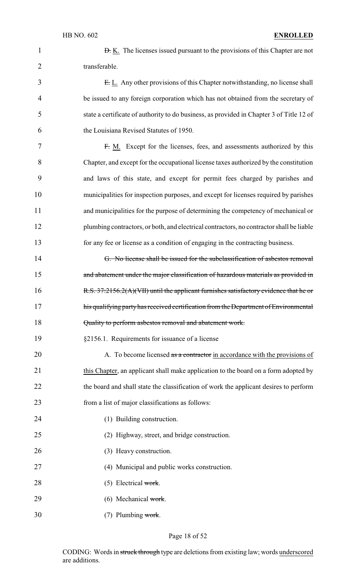|               | <b>D.</b> K. The licenses issued pursuant to the provisions of this Chapter are not |
|---------------|-------------------------------------------------------------------------------------|
| transferable. |                                                                                     |

3 E. L. Any other provisions of this Chapter notwithstanding, no license shall be issued to any foreign corporation which has not obtained from the secretary of state a certificate of authority to do business, as provided in Chapter 3 of Title 12 of the Louisiana Revised Statutes of 1950.

 F. M. Except for the licenses, fees, and assessments authorized by this Chapter, and except for the occupational license taxes authorized by the constitution and laws of this state, and except for permit fees charged by parishes and municipalities for inspection purposes, and except for licenses required by parishes and municipalities for the purpose of determining the competency of mechanical or plumbing contractors, or both, and electrical contractors, no contractor shall be liable for any fee or license as a condition of engaging in the contracting business.

14 G. No license shall be issued for the subclassification of asbestos removal 15 and abatement under the major classification of hazardous materials as provided in 16 R.S. 37:2156.2(A)(VII) until the applicant furnishes satisfactory evidence that he or 17 his qualifying party has received certification from the Department of Environmental 18 Quality to perform asbestos removal and abatement work.

19 §2156.1. Requirements for issuance of a license

20 A. To become licensed as a contractor in accordance with the provisions of 21 this Chapter, an applicant shall make application to the board on a form adopted by 22 the board and shall state the classification of work the applicant desires to perform 23 from a list of major classifications as follows:

- 24 (1) Building construction.
- 25 (2) Highway, street, and bridge construction.
- 26 (3) Heavy construction.

27 (4) Municipal and public works construction.

- 28 (5) Electrical work.
- 29 (6) Mechanical work.
- $30$  (7) Plumbing work.

#### Page 18 of 52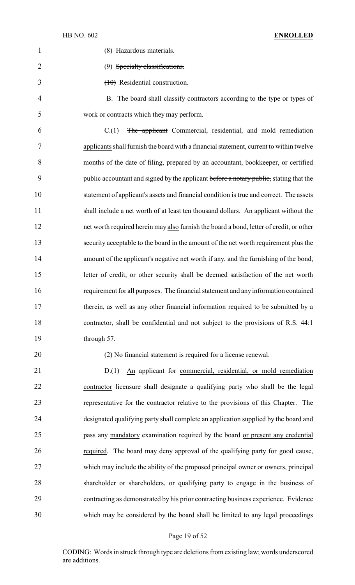| $\mathbf{1}$   | (8) Hazardous materials.                                                                |
|----------------|-----------------------------------------------------------------------------------------|
| $\overline{2}$ | (9) Specialty classifications.                                                          |
| 3              | $(10)$ Residential construction.                                                        |
| 4              | B. The board shall classify contractors according to the type or types of               |
| 5              | work or contracts which they may perform.                                               |
| 6              | C.(1)<br>The applicant Commercial, residential, and mold remediation                    |
| 7              | applicants shall furnish the board with a financial statement, current to within twelve |
| 8              | months of the date of filing, prepared by an accountant, bookkeeper, or certified       |
| 9              | public accountant and signed by the applicant before a notary public, stating that the  |
| 10             | statement of applicant's assets and financial condition is true and correct. The assets |
| 11             | shall include a net worth of at least ten thousand dollars. An applicant without the    |
| 12             | net worth required herein may also furnish the board a bond, letter of credit, or other |
| 13             | security acceptable to the board in the amount of the net worth requirement plus the    |
| 14             | amount of the applicant's negative net worth if any, and the furnishing of the bond,    |
| 15             | letter of credit, or other security shall be deemed satisfaction of the net worth       |
| 16             | requirement for all purposes. The financial statement and any information contained     |
| 17             | therein, as well as any other financial information required to be submitted by a       |
| 18             | contractor, shall be confidential and not subject to the provisions of R.S. 44:1        |
| 19             | through 57.                                                                             |
|                |                                                                                         |

(2) No financial statement is required for a license renewal.

21 D.(1) An applicant for commercial, residential, or mold remediation contractor licensure shall designate a qualifying party who shall be the legal representative for the contractor relative to the provisions of this Chapter. The designated qualifying party shall complete an application supplied by the board and pass any mandatory examination required by the board or present any credential required. The board may deny approval of the qualifying party for good cause, which may include the ability of the proposed principal owner or owners, principal shareholder or shareholders, or qualifying party to engage in the business of contracting as demonstrated by his prior contracting business experience. Evidence which may be considered by the board shall be limited to any legal proceedings

#### Page 19 of 52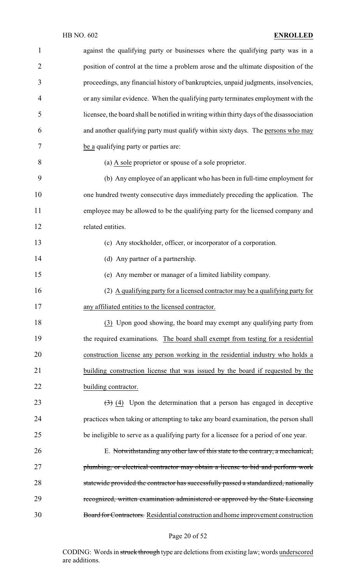| $\mathbf{1}$   | against the qualifying party or businesses where the qualifying party was in a               |
|----------------|----------------------------------------------------------------------------------------------|
| $\overline{2}$ | position of control at the time a problem arose and the ultimate disposition of the          |
| 3              | proceedings, any financial history of bankruptcies, unpaid judgments, insolvencies,          |
| 4              | or any similar evidence. When the qualifying party terminates employment with the            |
| 5              | licensee, the board shall be notified in writing within thirty days of the disassociation    |
| 6              | and another qualifying party must qualify within sixty days. The persons who may             |
| 7              | be a qualifying party or parties are:                                                        |
| 8              | (a) A sole proprietor or spouse of a sole proprietor.                                        |
| 9              | (b) Any employee of an applicant who has been in full-time employment for                    |
| 10             | one hundred twenty consecutive days immediately preceding the application. The               |
| 11             | employee may be allowed to be the qualifying party for the licensed company and              |
| 12             | related entities.                                                                            |
| 13             | (c) Any stockholder, officer, or incorporator of a corporation.                              |
| 14             | (d) Any partner of a partnership.                                                            |
| 15             | (e) Any member or manager of a limited liability company.                                    |
| 16             | (2) A qualifying party for a licensed contractor may be a qualifying party for               |
| 17             | any affiliated entities to the licensed contractor.                                          |
| 18             | (3) Upon good showing, the board may exempt any qualifying party from                        |
| 19             | the required examinations. The board shall exempt from testing for a residential             |
| 20             | construction license any person working in the residential industry who holds a              |
| 21             | building construction license that was issued by the board if requested by the               |
| 22             | building contractor.                                                                         |
| 23             | $\left(\frac{1}{2}\right)$ (4) Upon the determination that a person has engaged in deceptive |
| 24             | practices when taking or attempting to take any board examination, the person shall          |
| 25             | be ineligible to serve as a qualifying party for a licensee for a period of one year.        |
| 26             | E. Notwithstanding any other law of this state to the contrary, a mechanical,                |
| 27             | plumbing, or electrical contractor may obtain a license to bid and perform work              |
| 28             | statewide provided the contractor has successfully passed a standardized, nationally         |
| 29             | recognized, written examination administered or approved by the State Licensing              |
| 30             | Board for Contractors. Residential construction and home improvement construction            |
|                |                                                                                              |

# Page 20 of 52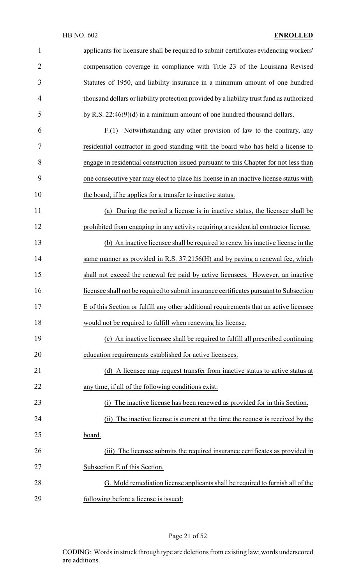| $\mathbf{1}$   | applicants for licensure shall be required to submit certificates evidencing workers'     |
|----------------|-------------------------------------------------------------------------------------------|
| $\overline{2}$ | compensation coverage in compliance with Title 23 of the Louisiana Revised                |
| 3              | Statutes of 1950, and liability insurance in a minimum amount of one hundred              |
| 4              | thousand dollars or liability protection provided by a liability trust fund as authorized |
| 5              | by R.S. $22:46(9)(d)$ in a minimum amount of one hundred thousand dollars.                |
| 6              | $F(1)$ Notwithstanding any other provision of law to the contrary, any                    |
| 7              | residential contractor in good standing with the board who has held a license to          |
| 8              | engage in residential construction issued pursuant to this Chapter for not less than      |
| 9              | one consecutive year may elect to place his license in an inactive license status with    |
| 10             | the board, if he applies for a transfer to inactive status.                               |
| 11             | (a) During the period a license is in inactive status, the licensee shall be              |
| 12             | prohibited from engaging in any activity requiring a residential contractor license.      |
| 13             | (b) An inactive licensee shall be required to renew his inactive license in the           |
| 14             | same manner as provided in R.S. 37:2156(H) and by paying a renewal fee, which             |
| 15             | shall not exceed the renewal fee paid by active licensees. However, an inactive           |
| 16             | licensee shall not be required to submit insurance certificates pursuant to Subsection    |
| 17             | E of this Section or fulfill any other additional requirements that an active licensee    |
| 18             | would not be required to fulfill when renewing his license.                               |
| 19             | (c) An inactive licensee shall be required to fulfill all prescribed continuing           |
| 20             | education requirements established for active licensees.                                  |
| 21             | (d) A licensee may request transfer from inactive status to active status at              |
| 22             | any time, if all of the following conditions exist:                                       |
| 23             | The inactive license has been renewed as provided for in this Section.<br>(i)             |
| 24             | The inactive license is current at the time the request is received by the<br>(ii)        |
| 25             | board.                                                                                    |
| 26             | The licensee submits the required insurance certificates as provided in<br>(111)          |
| 27             | Subsection E of this Section.                                                             |
| 28             | G. Mold remediation license applicants shall be required to furnish all of the            |
| 29             | following before a license is issued:                                                     |

# Page 21 of 52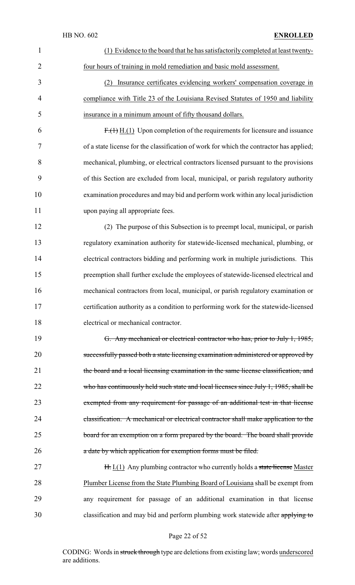| $\mathbf{1}$   | (1) Evidence to the board that he has satisfactorily completed at least twenty-         |
|----------------|-----------------------------------------------------------------------------------------|
| $\overline{2}$ | four hours of training in mold remediation and basic mold assessment.                   |
| 3              | Insurance certificates evidencing workers' compensation coverage in<br>(2)              |
| $\overline{4}$ | compliance with Title 23 of the Louisiana Revised Statutes of 1950 and liability        |
| 5              | insurance in a minimum amount of fifty thousand dollars.                                |
| 6              | $F1(1)$ $H2(1)$ Upon completion of the requirements for licensure and issuance          |
| 7              | of a state license for the classification of work for which the contractor has applied; |
| 8              | mechanical, plumbing, or electrical contractors licensed pursuant to the provisions     |
| 9              | of this Section are excluded from local, municipal, or parish regulatory authority      |
| 10             | examination procedures and may bid and perform work within any local jurisdiction       |
| 11             | upon paying all appropriate fees.                                                       |
| 12             | (2) The purpose of this Subsection is to preempt local, municipal, or parish            |
| 13             | regulatory examination authority for statewide-licensed mechanical, plumbing, or        |
| 14             | electrical contractors bidding and performing work in multiple jurisdictions. This      |
| 15             | preemption shall further exclude the employees of statewide-licensed electrical and     |
| 16             | mechanical contractors from local, municipal, or parish regulatory examination or       |
| 17             | certification authority as a condition to performing work for the statewide-licensed    |
| 18             | electrical or mechanical contractor.                                                    |
| 19             | G. Any mechanical or electrical contractor who has, prior to July 1, 1985,              |
| 20             | successfully passed both a state licensing examination administered or approved by      |
| 21             | the board and a local licensing examination in the same license classification, and     |
| 22             | who has continuously held such state and local licenses since July 1, 1985, shall be    |
| 23             | exempted from any requirement for passage of an additional test in that license         |
| 24             | elassification. A mechanical or electrical contractor shall make application to the     |
| 25             | board for an exemption on a form prepared by the board. The board shall provide         |
| 26             | a date by which application for exemption forms must be filed.                          |
| 27             | H. I.(1) Any plumbing contractor who currently holds a state license Master             |
| 28             | Plumber License from the State Plumbing Board of Louisiana shall be exempt from         |
| 29             | any requirement for passage of an additional examination in that license                |
| 30             | classification and may bid and perform plumbing work statewide after applying to        |

# Page 22 of 52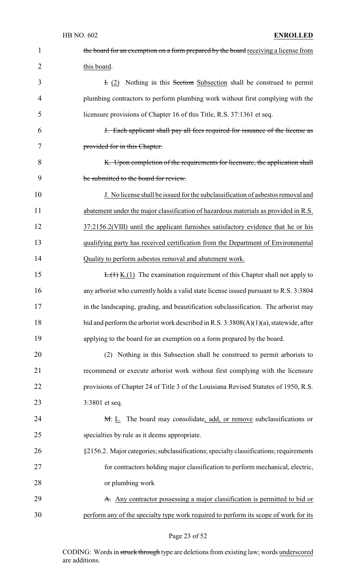| 1              | the board for an exemption on a form prepared by the board receiving a license from      |
|----------------|------------------------------------------------------------------------------------------|
| $\overline{2}$ | this board.                                                                              |
| 3              | E. (2) Nothing in this Section Subsection shall be construed to permit                   |
| 4              | plumbing contractors to perform plumbing work without first complying with the           |
| 5              | licensure provisions of Chapter 16 of this Title, R.S. 37:1361 et seq.                   |
| 6              | J. Each applicant shall pay all fees required for issuance of the license as             |
| 7              | provided for in this Chapter.                                                            |
| 8              | K. Upon completion of the requirements for licensure, the application shall              |
| 9              | be submitted to the board for review.                                                    |
| 10             | J. No license shall be issued for the subclassification of asbestos removal and          |
| 11             | abatement under the major classification of hazardous materials as provided in R.S.      |
| 12             | 37:2156.2(VIII) until the applicant furnishes satisfactory evidence that he or his       |
| 13             | qualifying party has received certification from the Department of Environmental         |
| 14             | Quality to perform asbestos removal and abatement work.                                  |
| 15             | $E_{\cdot}(1)$ K.(1) The examination requirement of this Chapter shall not apply to      |
| 16             | any arborist who currently holds a valid state license issued pursuant to R.S. 3:3804    |
| 17             | in the landscaping, grading, and beautification subclassification. The arborist may      |
| 18             | bid and perform the arborist work described in R.S. $3:3808(A)(1)(a)$ , statewide, after |
| 19             | applying to the board for an exemption on a form prepared by the board.                  |
| 20             | Nothing in this Subsection shall be construed to permit arborists to<br>(2)              |
| 21             | recommend or execute arborist work without first complying with the licensure            |
| 22             | provisions of Chapter 24 of Title 3 of the Louisiana Revised Statutes of 1950, R.S.      |
| 23             | 3:3801 et seq.                                                                           |
| 24             | M. L. The board may consolidate, add, or remove subclassifications or                    |
| 25             | specialties by rule as it deems appropriate.                                             |
| 26             | §2156.2. Major categories; subclassifications; specialty classifications; requirements   |
| 27             | for contractors holding major classification to perform mechanical, electric,            |
| 28             | or plumbing work                                                                         |
| 29             | A. Any contractor possessing a major classification is permitted to bid or               |
| 30             | perform any of the specialty type work required to perform its scope of work for its     |

# Page 23 of 52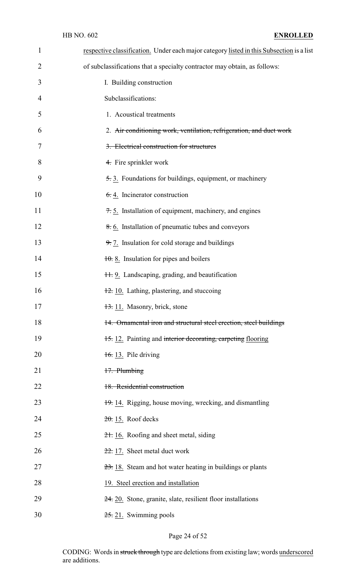| $\mathbf{1}$ | respective classification. Under each major category listed in this Subsection is a list |
|--------------|------------------------------------------------------------------------------------------|
| 2            | of subclassifications that a specialty contractor may obtain, as follows:                |
| 3            | I. Building construction                                                                 |
| 4            | Subclassifications:                                                                      |
| 5            | 1. Acoustical treatments                                                                 |
| 6            | 2. Air conditioning work, ventilation, refrigeration, and duct work                      |
| 7            | 3. Electrical construction for structures                                                |
| 8            | 4. Fire sprinkler work                                                                   |
| 9            | 5.3. Foundations for buildings, equipment, or machinery                                  |
| 10           | $6.4$ . Incinerator construction                                                         |
| 11           | 7.5. Installation of equipment, machinery, and engines                                   |
| 12           | 8. 6. Installation of pneumatic tubes and conveyors                                      |
| 13           | 9. 7. Insulation for cold storage and buildings                                          |
| 14           | $\frac{10}{10}$ . 8. Insulation for pipes and boilers                                    |
| 15           | 11.9. Landscaping, grading, and beautification                                           |
| 16           | $\frac{12}{2}$ . 10. Lathing, plastering, and stuccoing                                  |
| 17           | 13. 11. Masonry, brick, stone                                                            |
| 18           | 14. Ornamental iron and structural steel erection, steel buildings                       |
| 19           | 15. 12. Painting and interior decorating, carpeting flooring                             |
| 20           | $\frac{16}{16}$ 13. Pile driving                                                         |
| 21           | 17. Plumbing                                                                             |
| 22           | 18. Residential construction                                                             |
| 23           | 19. 14. Rigging, house moving, wrecking, and dismantling                                 |
| 24           | $20.15$ . Roof decks                                                                     |
| 25           | 21. 16. Roofing and sheet metal, siding                                                  |
| 26           | $22.17$ . Sheet metal duct work                                                          |
| 27           | 23. 18. Steam and hot water heating in buildings or plants                               |
| 28           | 19. Steel erection and installation                                                      |
| 29           | 24. 20. Stone, granite, slate, resilient floor installations                             |
| 30           | $25.21$ . Swimming pools                                                                 |

Page 24 of 52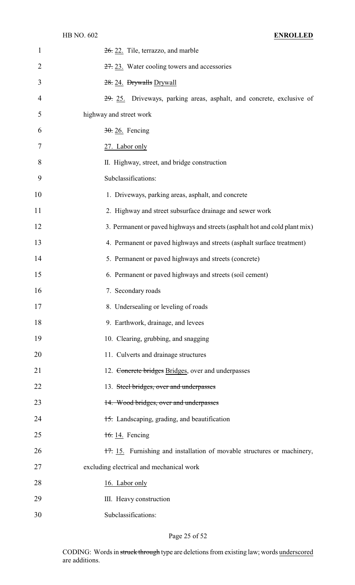| $\mathbf{1}$ | $26$ , 22. Tile, terrazzo, and marble                                       |
|--------------|-----------------------------------------------------------------------------|
| 2            | $27.23$ . Water cooling towers and accessories                              |
| 3            | 28. 24. Drywalls Drywall                                                    |
| 4            | 29. 25. Driveways, parking areas, asphalt, and concrete, exclusive of       |
| 5            | highway and street work                                                     |
| 6            | 30. 26. Fencing                                                             |
| 7            | 27. Labor only                                                              |
| 8            | II. Highway, street, and bridge construction                                |
| 9            | Subclassifications:                                                         |
| 10           | 1. Driveways, parking areas, asphalt, and concrete                          |
| 11           | 2. Highway and street subsurface drainage and sewer work                    |
| 12           | 3. Permanent or paved highways and streets (asphalt hot and cold plant mix) |
| 13           | 4. Permanent or paved highways and streets (asphalt surface treatment)      |
| 14           | 5. Permanent or paved highways and streets (concrete)                       |
| 15           | 6. Permanent or paved highways and streets (soil cement)                    |
| 16           | 7. Secondary roads                                                          |
| 17           | 8. Undersealing or leveling of roads                                        |
| 18           | 9. Earthwork, drainage, and levees                                          |
| 19           | 10. Clearing, grubbing, and snagging                                        |
| 20           | 11. Culverts and drainage structures                                        |
| 21           | 12. Concrete bridges Bridges, over and underpasses                          |
| 22           | 13. Steel bridges, over and underpasses                                     |
| 23           | 14. Wood bridges, over and underpasses                                      |
| 24           | 15. Landscaping, grading, and beautification                                |
| 25           | 16.14. Fencing                                                              |
| 26           | 17. 15. Furnishing and installation of movable structures or machinery,     |
| 27           | excluding electrical and mechanical work                                    |
| 28           | 16. Labor only                                                              |
| 29           | III. Heavy construction                                                     |
| 30           | Subclassifications:                                                         |

Page 25 of 52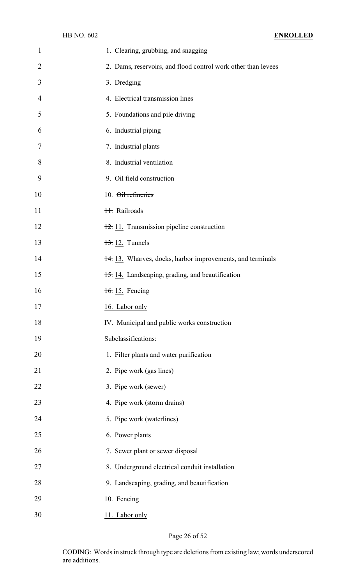| 1              | 1. Clearing, grubbing, and snagging                           |
|----------------|---------------------------------------------------------------|
| $\overline{2}$ | 2. Dams, reservoirs, and flood control work other than levees |
| 3              | 3. Dredging                                                   |
| $\overline{4}$ | 4. Electrical transmission lines                              |
| 5              | 5. Foundations and pile driving                               |
| 6              | 6. Industrial piping                                          |
| 7              | 7. Industrial plants                                          |
| 8              | 8. Industrial ventilation                                     |
| 9              | 9. Oil field construction                                     |
| 10             | 10. Oil refineries                                            |
| 11             | 11. Railroads                                                 |
| 12             | 12. 11. Transmission pipeline construction                    |
| 13             | $13.12$ . Tunnels                                             |
| 14             | 14. 13. Wharves, docks, harbor improvements, and terminals    |
| 15             | 15.14. Landscaping, grading, and beautification               |
| 16             | $\frac{16}{15}$ . Fencing                                     |
| 17             | 16. Labor only                                                |
| 18             | IV. Municipal and public works construction                   |
| 19             | Subclassifications:                                           |
| 20             | 1. Filter plants and water purification                       |
| 21             | 2. Pipe work (gas lines)                                      |
| 22             | 3. Pipe work (sewer)                                          |
| 23             | 4. Pipe work (storm drains)                                   |
| 24             | 5. Pipe work (waterlines)                                     |
| 25             | 6. Power plants                                               |
| 26             | 7. Sewer plant or sewer disposal                              |
| 27             | 8. Underground electrical conduit installation                |
| 28             | 9. Landscaping, grading, and beautification                   |
| 29             | 10. Fencing                                                   |
| 30             | 11. Labor only                                                |

Page 26 of 52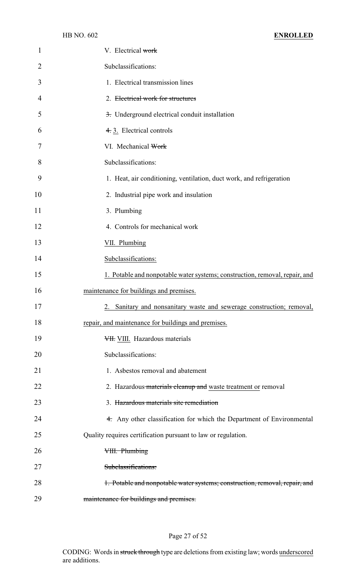| 1              | V. Electrical work                                                          |
|----------------|-----------------------------------------------------------------------------|
| $\overline{2}$ | Subclassifications:                                                         |
| 3              | 1. Electrical transmission lines                                            |
| 4              | 2. Electrical work for structures                                           |
| 5              | 3. Underground electrical conduit installation                              |
| 6              | 4.3. Electrical controls                                                    |
| 7              | VI. Mechanical Work                                                         |
| 8              | Subclassifications:                                                         |
| 9              | 1. Heat, air conditioning, ventilation, duct work, and refrigeration        |
| 10             | 2. Industrial pipe work and insulation                                      |
| 11             | 3. Plumbing                                                                 |
| 12             | 4. Controls for mechanical work                                             |
| 13             | VII. Plumbing                                                               |
| 14             | Subclassifications:                                                         |
| 15             | 1. Potable and nonpotable water systems; construction, removal, repair, and |
| 16             | maintenance for buildings and premises.                                     |
| 17             | 2. Sanitary and nonsanitary waste and sewerage construction; removal,       |
| 18             | repair, and maintenance for buildings and premises.                         |
| 19             | VII. Hazardous materials                                                    |
| 20             | Subclassifications:                                                         |
| 21             | 1. Asbestos removal and abatement                                           |
| 22             | 2. Hazardous materials cleanup and waste treatment or removal               |
| 23             | 3. Hazardous materials site remediation                                     |
| 24             | 4. Any other classification for which the Department of Environmental       |
| 25             | Quality requires certification pursuant to law or regulation.               |
| 26             | VIII. Plumbing                                                              |
| 27             | Subclassifications:                                                         |
| 28             | 1. Potable and nonpotable water systems; construction, removal, repair, and |
| 29             | maintenance for buildings and premises.                                     |

# Page 27 of 52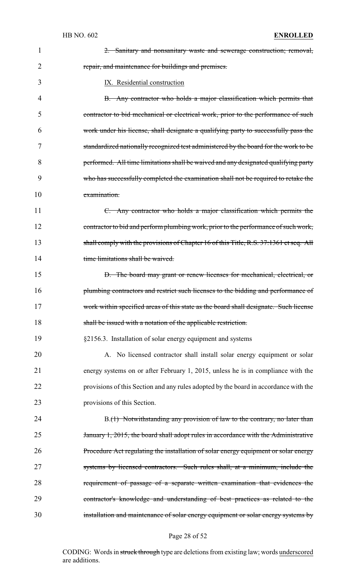| 1  | 2. Sanitary and nonsanitary waste and sewerage construction; removal,                  |
|----|----------------------------------------------------------------------------------------|
| 2  | repair, and maintenance for buildings and premises.                                    |
| 3  | IX. Residential construction                                                           |
| 4  | B. Any contractor who holds a major classification which permits that                  |
| 5  | contractor to bid mechanical or electrical work, prior to the performance of such      |
| 6  | work under his license, shall designate a qualifying party to successfully pass the    |
| 7  | standardized nationally recognized test administered by the board for the work to be   |
| 8  | performed. All time limitations shall be waived and any designated qualifying party    |
| 9  | who has successfully completed the examination shall not be required to retake the     |
| 10 | examination.                                                                           |
| 11 | C. Any contractor who holds a major classification which permits the                   |
| 12 | contractor to bid and perform plumbing work, prior to the performance of such work,    |
| 13 | shall comply with the provisions of Chapter 16 of this Title, R.S. 37:1361 et seq. All |
| 14 | time limitations shall be waived.                                                      |
| 15 | D. The board may grant or renew licenses for mechanical, electrical, or                |
| 16 | plumbing contractors and restrict such licenses to the bidding and performance of      |
| 17 | work within specified areas of this state as the board shall designate. Such license   |
| 18 | shall be issued with a notation of the applicable restriction.                         |
| 19 | §2156.3. Installation of solar energy equipment and systems                            |
| 20 | A. No licensed contractor shall install solar energy equipment or solar                |
| 21 | energy systems on or after February 1, 2015, unless he is in compliance with the       |
| 22 | provisions of this Section and any rules adopted by the board in accordance with the   |
| 23 | provisions of this Section.                                                            |
| 24 | B.(1) Notwithstanding any provision of law to the contrary, no later than              |
| 25 | January 1, 2015, the board shall adopt rules in accordance with the Administrative     |
| 26 | Procedure Act regulating the installation of solar energy equipment or solar energy    |
| 27 | systems by licensed contractors. Such rules shall, at a minimum, include the           |
| 28 | requirement of passage of a separate written examination that evidences the            |
| 29 | contractor's knowledge and understanding of best practices as related to the           |
| 30 | installation and maintenance of solar energy equipment or solar energy systems by      |

# Page 28 of 52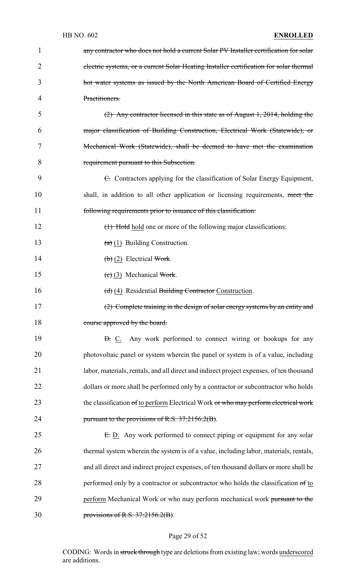| 1  | any contractor who does not hold a current Solar PV Installer certification for solar    |
|----|------------------------------------------------------------------------------------------|
| 2  | electric systems, or a current Solar Heating Installer certification for solar thermal   |
| 3  | hot water systems as issued by the North American Board of Certified Energy              |
| 4  | Practitioners.                                                                           |
| 5  | $(2)$ Any contractor licensed in this state as of August 1, 2014, holding the            |
| 6  | major classification of Building Construction, Electrical Work (Statewide), or           |
| 7  | Mechanical Work (Statewide), shall be deemed to have met the examination                 |
| 8  | requirement pursuant to this Subsection.                                                 |
| 9  | E. Contractors applying for the classification of Solar Energy Equipment,                |
| 10 | shall, in addition to all other application or licensing requirements, meet the          |
| 11 | following requirements prior to issuance of this classification.                         |
| 12 | (1) Hold hold one or more of the following major classifications:                        |
| 13 | $(a)$ (1) Building Construction.                                                         |
| 14 | $\left(\frac{b}{c}\right)$ (2) Electrical Work.                                          |
| 15 | $(e)$ (3) Mechanical Work.                                                               |
| 16 | (d) (4) Residential Building Contractor Construction.                                    |
| 17 | (2) Complete training in the design of solar energy systems by an entity and             |
| 18 | course approved by the board.                                                            |
| 19 | <b>B.</b> C. Any work performed to connect wiring or hookups for any                     |
| 20 | photovoltaic panel or system wherein the panel or system is of a value, including        |
| 21 | labor, materials, rentals, and all direct and indirect project expenses, of ten thousand |
| 22 | dollars or more shall be performed only by a contractor or subcontractor who holds       |
| 23 | the classification of to perform Electrical Work or who may perform electrical work      |
| 24 | pursuant to the provisions of R.S. 37:2156.2(B).                                         |
| 25 | E. D. Any work performed to connect piping or equipment for any solar                    |
| 26 | thermal system wherein the system is of a value, including labor, materials, rentals,    |
| 27 | and all direct and indirect project expenses, of ten thousand dollars or more shall be   |
| 28 | performed only by a contractor or subcontractor who holds the classification of to       |
| 29 | perform Mechanical Work or who may perform mechanical work pursuant to the               |
| 30 | provisions of R.S. $37:2156.2(B)$ .                                                      |

# Page 29 of 52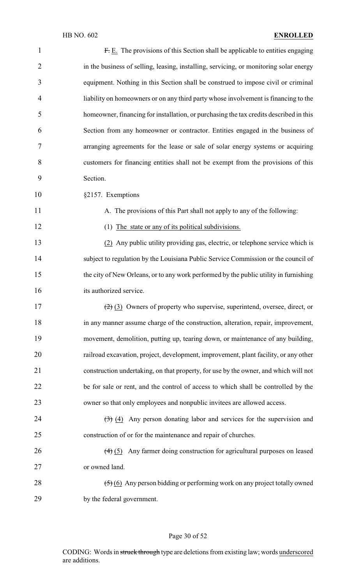| $\mathbf{1}$   | F. E. The provisions of this Section shall be applicable to entities engaging                     |
|----------------|---------------------------------------------------------------------------------------------------|
| $\overline{2}$ | in the business of selling, leasing, installing, servicing, or monitoring solar energy            |
| 3              | equipment. Nothing in this Section shall be construed to impose civil or criminal                 |
| 4              | liability on homeowners or on any third party whose involvement is financing to the               |
| 5              | homeowner, financing for installation, or purchasing the tax credits described in this            |
| 6              | Section from any homeowner or contractor. Entities engaged in the business of                     |
| 7              | arranging agreements for the lease or sale of solar energy systems or acquiring                   |
| 8              | customers for financing entities shall not be exempt from the provisions of this                  |
| 9              | Section.                                                                                          |
| 10             | §2157. Exemptions                                                                                 |
| 11             | A. The provisions of this Part shall not apply to any of the following:                           |
| 12             | (1) The state or any of its political subdivisions.                                               |
| 13             | (2) Any public utility providing gas, electric, or telephone service which is                     |
| 14             | subject to regulation by the Louisiana Public Service Commission or the council of                |
| 15             | the city of New Orleans, or to any work performed by the public utility in furnishing             |
| 16             | its authorized service.                                                                           |
| 17             | $\left(\frac{2}{2}\right)$ (3) Owners of property who supervise, superintend, oversee, direct, or |
| 18             | in any manner assume charge of the construction, alteration, repair, improvement,                 |
| 19             | movement, demolition, putting up, tearing down, or maintenance of any building,                   |
| 20             | railroad excavation, project, development, improvement, plant facility, or any other              |
| 21             | construction undertaking, on that property, for use by the owner, and which will not              |
| 22             | be for sale or rent, and the control of access to which shall be controlled by the                |
| 23             | owner so that only employees and nonpublic invitees are allowed access.                           |
| 24             | $\left(\frac{1}{2}\right)$ (4) Any person donating labor and services for the supervision and     |
| 25             | construction of or for the maintenance and repair of churches.                                    |
| 26             | $\left(\frac{4}{5}\right)$ Any farmer doing construction for agricultural purposes on leased      |
| 27             | or owned land.                                                                                    |
| 28             | $\left(\frac{5}{2}\right)$ (6) Any person bidding or performing work on any project totally owned |
| 29             | by the federal government.                                                                        |

# Page 30 of 52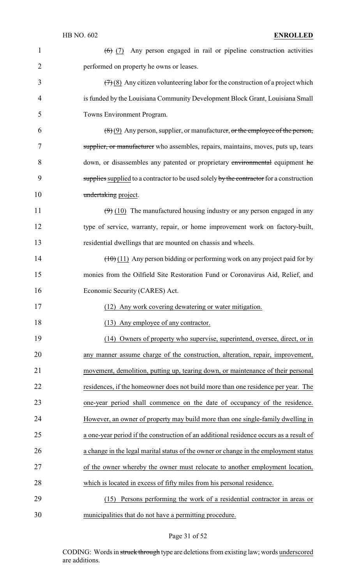| $\mathbf{1}$   | $(6)$ (7) Any person engaged in rail or pipeline construction activities                 |
|----------------|------------------------------------------------------------------------------------------|
| $\overline{2}$ | performed on property he owns or leases.                                                 |
| 3              | $(7)$ (8) Any citizen volunteering labor for the construction of a project which         |
| 4              | is funded by the Louisiana Community Development Block Grant, Louisiana Small            |
| 5              | Towns Environment Program.                                                               |
| 6              | $(8)(9)$ Any person, supplier, or manufacturer, or the employee of the person,           |
| 7              | supplier, or manufacturer who assembles, repairs, maintains, moves, puts up, tears       |
| 8              | down, or disassembles any patented or proprietary environmental equipment he             |
| 9              | supplies supplied to a contractor to be used solely by the contractor for a construction |
| 10             | undertaking project.                                                                     |
| 11             | $(9)$ (10) The manufactured housing industry or any person engaged in any                |
| 12             | type of service, warranty, repair, or home improvement work on factory-built,            |
| 13             | residential dwellings that are mounted on chassis and wheels.                            |
| 14             | $(\pm 0)$ (11) Any person bidding or performing work on any project paid for by          |
| 15             | monies from the Oilfield Site Restoration Fund or Coronavirus Aid, Relief, and           |
| 16             | Economic Security (CARES) Act.                                                           |
| 17             | (12) Any work covering dewatering or water mitigation.                                   |
| 18             | (13) Any employee of any contractor.                                                     |
| 19             | (14) Owners of property who supervise, superintend, oversee, direct, or in               |
| 20             | any manner assume charge of the construction, alteration, repair, improvement,           |
| 21             | movement, demolition, putting up, tearing down, or maintenance of their personal         |
| 22             | residences, if the homeowner does not build more than one residence per year. The        |
| 23             | one-year period shall commence on the date of occupancy of the residence.                |
| 24             | However, an owner of property may build more than one single-family dwelling in          |
| 25             | a one-year period if the construction of an additional residence occurs as a result of   |
| 26             | a change in the legal marital status of the owner or change in the employment status     |
| 27             | of the owner whereby the owner must relocate to another employment location,             |
| 28             | which is located in excess of fifty miles from his personal residence.                   |
| 29             | (15) Persons performing the work of a residential contractor in areas or                 |
| 30             |                                                                                          |

# Page 31 of 52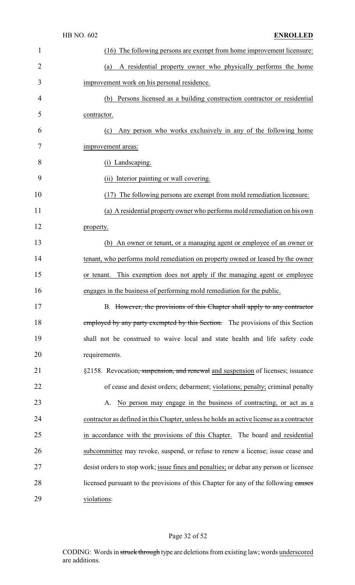|                | HB NO. 602<br><b>ENROLLED</b>                                                            |
|----------------|------------------------------------------------------------------------------------------|
| $\mathbf{1}$   | (16) The following persons are exempt from home improvement licensure:                   |
| $\overline{2}$ | A residential property owner who physically performs the home<br>(a)                     |
| 3              | improvement work on his personal residence.                                              |
| 4              | Persons licensed as a building construction contractor or residential<br>(b)             |
| 5              | contractor.                                                                              |
| 6              | Any person who works exclusively in any of the following home<br>(c)                     |
| 7              | improvement areas:                                                                       |
| 8              | (i) Landscaping.                                                                         |
| 9              | (ii) Interior painting or wall covering.                                                 |
| 10             | The following persons are exempt from mold remediation licensure:<br>(17)                |
| 11             | (a) A residential property owner who performs mold remediation on his own                |
| 12             | property.                                                                                |
| 13             | An owner or tenant, or a managing agent or employee of an owner or<br>(b)                |
| 14             | tenant, who performs mold remediation on property owned or leased by the owner           |
| 15             | This exemption does not apply if the managing agent or employee<br>or tenant.            |
| 16             | engages in the business of performing mold remediation for the public.                   |
| 17             | B. However, the provisions of this Chapter shall apply to any contractor                 |
| 18             | employed by any party exempted by this Section. The provisions of this Section           |
| 19             | shall not be construed to waive local and state health and life safety code              |
| 20             | requirements.                                                                            |
| 21             | §2158. Revocation, suspension, and renewal and suspension of licenses; issuance          |
| 22             | of cease and desist orders; debarment; violations; penalty; criminal penalty             |
| 23             | No person may engage in the business of contracting, or act as a<br>А.                   |
| 24             | contractor as defined in this Chapter, unless he holds an active license as a contractor |
| 25             | in accordance with the provisions of this Chapter. The board and residential             |
| 26             | subcommittee may revoke, suspend, or refuse to renew a license; issue cease and          |
| 27             | desist orders to stop work; issue fines and penalties; or debar any person or licensee   |
| 28             | licensed pursuant to the provisions of this Chapter for any of the following causes      |
| 29             | violations:                                                                              |

# Page 32 of 52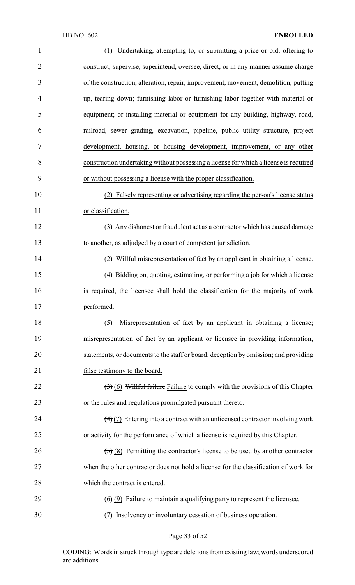| $\mathbf{1}$   | (1) Undertaking, attempting to, or submitting a price or bid; offering to                        |
|----------------|--------------------------------------------------------------------------------------------------|
| $\overline{2}$ | construct, supervise, superintend, oversee, direct, or in any manner assume charge               |
| 3              | of the construction, alteration, repair, improvement, movement, demolition, putting              |
| 4              | up, tearing down; furnishing labor or furnishing labor together with material or                 |
| 5              | equipment; or installing material or equipment for any building, highway, road,                  |
| 6              | railroad, sewer grading, excavation, pipeline, public utility structure, project                 |
| 7              | development, housing, or housing development, improvement, or any other                          |
| 8              | construction undertaking without possessing a license for which a license is required            |
| 9              | or without possessing a license with the proper classification.                                  |
| 10             | (2) Falsely representing or advertising regarding the person's license status                    |
| 11             | or classification.                                                                               |
| 12             | (3) Any dishonest or fraudulent act as a contractor which has caused damage                      |
| 13             | to another, as adjudged by a court of competent jurisdiction.                                    |
| 14             | (2) Willful misrepresentation of fact by an applicant in obtaining a license.                    |
| 15             | (4) Bidding on, quoting, estimating, or performing a job for which a license                     |
| 16             | is required, the licensee shall hold the classification for the majority of work                 |
| 17             | performed.                                                                                       |
| 18             | Misrepresentation of fact by an applicant in obtaining a license;<br>(5)                         |
| 19             | misrepresentation of fact by an applicant or licensee in providing information,                  |
| 20             | statements, or documents to the staff or board; deception by omission; and providing             |
| 21             | false testimony to the board.                                                                    |
| 22             | $(3)$ (6) Willful failure Failure to comply with the provisions of this Chapter                  |
| 23             | or the rules and regulations promulgated pursuant thereto.                                       |
| 24             | $\left(\frac{4}{2}\right)$ Entering into a contract with an unlicensed contractor involving work |
| 25             | or activity for the performance of which a license is required by this Chapter.                  |
| 26             | $(5)$ (8) Permitting the contractor's license to be used by another contractor                   |
| 27             | when the other contractor does not hold a license for the classification of work for             |
| 28             | which the contract is entered.                                                                   |
| 29             | $(6)$ (9) Failure to maintain a qualifying party to represent the licensee.                      |
| 30             | (7) Insolvency or involuntary cessation of business operation.                                   |

Page 33 of 52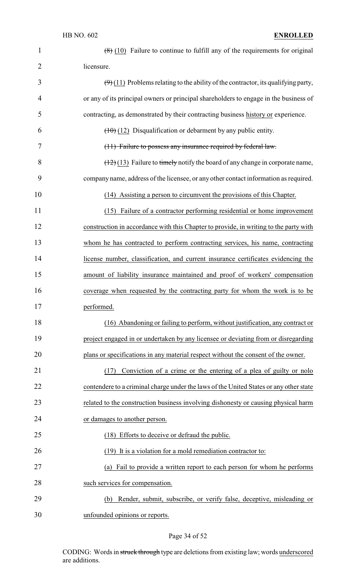| 1              | $(8)$ (10) Failure to continue to fulfill any of the requirements for original            |
|----------------|-------------------------------------------------------------------------------------------|
| $\overline{2}$ | licensure.                                                                                |
| 3              | $(\Theta)$ (11) Problems relating to the ability of the contractor, its qualifying party, |
| 4              | or any of its principal owners or principal shareholders to engage in the business of     |
| 5              | contracting, as demonstrated by their contracting business history or experience.         |
| 6              | $(10)(12)$ Disqualification or debarment by any public entity.                            |
| 7              | (11) Failure to possess any insurance required by federal law.                            |
| 8              | $(12)(13)$ Failure to timely notify the board of any change in corporate name,            |
| 9              | company name, address of the licensee, or any other contact information as required.      |
| 10             | (14) Assisting a person to circumvent the provisions of this Chapter.                     |
| 11             | (15) Failure of a contractor performing residential or home improvement                   |
| 12             | construction in accordance with this Chapter to provide, in writing to the party with     |
| 13             | whom he has contracted to perform contracting services, his name, contracting             |
| 14             | license number, classification, and current insurance certificates evidencing the         |
| 15             | amount of liability insurance maintained and proof of workers' compensation               |
| 16             | coverage when requested by the contracting party for whom the work is to be               |
| 17             | performed.                                                                                |
| 18             | (16) Abandoning or failing to perform, without justification, any contract or             |
| 19             | project engaged in or undertaken by any licensee or deviating from or disregarding        |
| 20             | plans or specifications in any material respect without the consent of the owner.         |
| 21             | Conviction of a crime or the entering of a plea of guilty or nolo<br>(17)                 |
| 22             | contendere to a criminal charge under the laws of the United States or any other state    |
| 23             | related to the construction business involving dishonesty or causing physical harm        |
| 24             | or damages to another person.                                                             |
| 25             | (18) Efforts to deceive or defraud the public.                                            |
| 26             | (19) It is a violation for a mold remediation contractor to:                              |
| 27             | Fail to provide a written report to each person for whom he performs<br>(a)               |
| 28             | such services for compensation.                                                           |
| 29             | Render, submit, subscribe, or verify false, deceptive, misleading or<br>(b)               |
| 30             | unfounded opinions or reports.                                                            |

# Page 34 of 52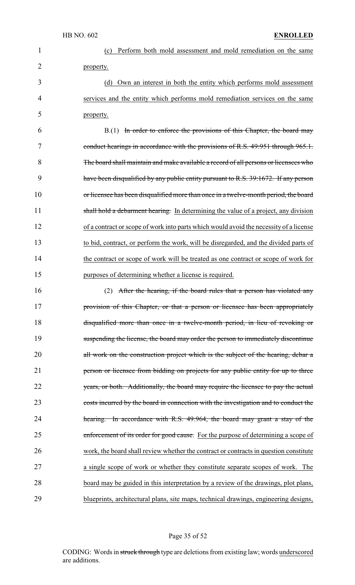| $\mathbf{1}$ | Perform both mold assessment and mold remediation on the same<br>(c)                   |
|--------------|----------------------------------------------------------------------------------------|
| 2            | property.                                                                              |
| 3            | Own an interest in both the entity which performs mold assessment<br>(d)               |
| 4            | services and the entity which performs mold remediation services on the same           |
| 5            | property.                                                                              |
| 6            | B.(1) In order to enforce the provisions of this Chapter, the board may                |
| 7            | conduct hearings in accordance with the provisions of R.S. 49:951 through 965.1.       |
| 8            | The board shall maintain and make available a record of all persons or licensees who   |
| 9            | have been disqualified by any public entity pursuant to R.S. 39:1672. If any person    |
| 10           | or licensee has been disqualified more than once in a twelve-month period, the board   |
| 11           | shall hold a debarment hearing. In determining the value of a project, any division    |
| 12           | of a contract or scope of work into parts which would avoid the necessity of a license |
| 13           | to bid, contract, or perform the work, will be disregarded, and the divided parts of   |
| 14           | the contract or scope of work will be treated as one contract or scope of work for     |
| 15           | purposes of determining whether a license is required.                                 |
| 16           | After the hearing, if the board rules that a person has violated any<br>(2)            |
| 17           | provision of this Chapter, or that a person or licensee has been appropriately         |
| 18           | disqualified more than once in a twelve-month period, in lieu of revoking or           |
| 19           | suspending the license, the board may order the person to immediately discontinue      |
| 20           | all work on the construction project which is the subject of the hearing, debar a      |
| 21           | person or licensee from bidding on projects for any public entity for up to three      |
| 22           | years, or both. Additionally, the board may require the licensee to pay the actual     |
| 23           | costs incurred by the board in connection with the investigation and to conduct the    |
| 24           | hearing. In accordance with R.S. 49:964, the board may grant a stay of the             |
| 25           | enforcement of its order for good cause. For the purpose of determining a scope of     |
| 26           | work, the board shall review whether the contract or contracts in question constitute  |
| 27           | a single scope of work or whether they constitute separate scopes of work. The         |
| 28           | board may be guided in this interpretation by a review of the drawings, plot plans,    |
| 29           | blueprints, architectural plans, site maps, technical drawings, engineering designs,   |

# Page 35 of 52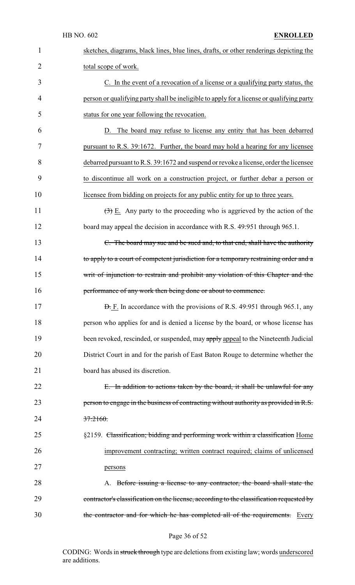| $\mathbf{1}$   | sketches, diagrams, black lines, blue lines, drafts, or other renderings depicting the          |
|----------------|-------------------------------------------------------------------------------------------------|
| $\overline{2}$ | total scope of work.                                                                            |
| 3              | C. In the event of a revocation of a license or a qualifying party status, the                  |
| 4              | person or qualifying party shall be ineligible to apply for a license or qualifying party       |
| 5              | status for one year following the revocation.                                                   |
| 6              | The board may refuse to license any entity that has been debarred<br>D.                         |
| 7              | pursuant to R.S. 39:1672. Further, the board may hold a hearing for any licensee                |
| 8              | debarred pursuant to R.S. 39:1672 and suspend or revoke a license, order the licensee           |
| 9              | to discontinue all work on a construction project, or further debar a person or                 |
| 10             | licensee from bidding on projects for any public entity for up to three years.                  |
| 11             | $\left(\frac{1}{2}\right)$ E. Any party to the proceeding who is aggrieved by the action of the |
| 12             | board may appeal the decision in accordance with R.S. 49:951 through 965.1.                     |
| 13             | C. The board may sue and be sued and, to that end, shall have the authority                     |
| 14             | to apply to a court of competent jurisdiction for a temporary restraining order and a           |
| 15             | writ of injunction to restrain and prohibit any violation of this Chapter and the               |
| 16             | performance of any work then being done or about to commence.                                   |
| 17             | <b>D.</b> F. In accordance with the provisions of R.S. 49:951 through 965.1, any                |
| 18             | person who applies for and is denied a license by the board, or whose license has               |
| 19             | been revoked, rescinded, or suspended, may apply appeal to the Nineteenth Judicial              |
| 20             | District Court in and for the parish of East Baton Rouge to determine whether the               |
| 21             | board has abused its discretion.                                                                |
| 22             | E. In addition to actions taken by the board, it shall be unlawful for any                      |
| 23             | person to engage in the business of contracting without authority as provided in R.S.           |
| 24             | 37:2160.                                                                                        |
| 25             | §2159. Classification; bidding and performing work within a classification Home                 |
| 26             | improvement contracting; written contract required; claims of unlicensed                        |
| 27             | persons                                                                                         |
| 28             | A. Before issuing a license to any contractor, the board shall state the                        |
| 29             | contractor's classification on the license, according to the classification requested by        |
| 30             | the contractor and for which he has completed all of the requirements. Every                    |

# Page 36 of 52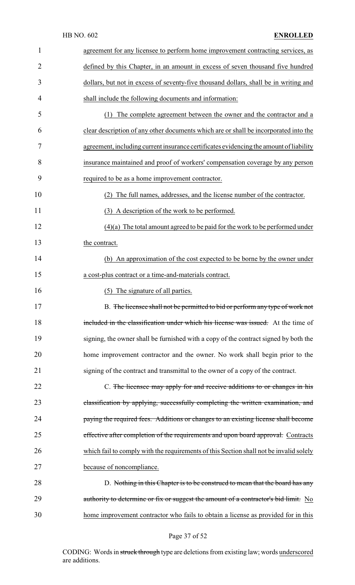| 1  | agreement for any licensee to perform home improvement contracting services, as        |
|----|----------------------------------------------------------------------------------------|
| 2  | defined by this Chapter, in an amount in excess of seven thousand five hundred         |
| 3  | dollars, but not in excess of seventy-five thousand dollars, shall be in writing and   |
| 4  | shall include the following documents and information:                                 |
| 5  | The complete agreement between the owner and the contractor and a<br>(1)               |
| 6  | clear description of any other documents which are or shall be incorporated into the   |
| 7  | agreement, including current insurance certificates evidencing the amount of liability |
| 8  | insurance maintained and proof of workers' compensation coverage by any person         |
| 9  | required to be as a home improvement contractor.                                       |
| 10 | The full names, addresses, and the license number of the contractor.<br>(2)            |
| 11 | (3) A description of the work to be performed.                                         |
| 12 | $(4)(a)$ The total amount agreed to be paid for the work to be performed under         |
| 13 | the contract.                                                                          |
| 14 | (b) An approximation of the cost expected to be borne by the owner under               |
| 15 | a cost-plus contract or a time-and-materials contract.                                 |
| 16 | (5) The signature of all parties.                                                      |
| 17 | B. The licensee shall not be permitted to bid or perform any type of work not          |
| 18 | included in the classification under which his license was issued. At the time of      |
| 19 | signing, the owner shall be furnished with a copy of the contract signed by both the   |
| 20 | home improvement contractor and the owner. No work shall begin prior to the            |
| 21 | signing of the contract and transmittal to the owner of a copy of the contract.        |
| 22 | C. The licensee may apply for and receive additions to or changes in his               |
| 23 | classification by applying, successfully completing the written examination, and       |
| 24 | paying the required fees. Additions or changes to an existing license shall become     |
| 25 | effective after completion of the requirements and upon board approval. Contracts      |
| 26 | which fail to comply with the requirements of this Section shall not be invalid solely |
| 27 | because of noncompliance.                                                              |
| 28 | D. Nothing in this Chapter is to be construed to mean that the board has any           |
| 29 | authority to determine or fix or suggest the amount of a contractor's bid limit. No    |
| 30 | home improvement contractor who fails to obtain a license as provided for in this      |
|    |                                                                                        |

# Page 37 of 52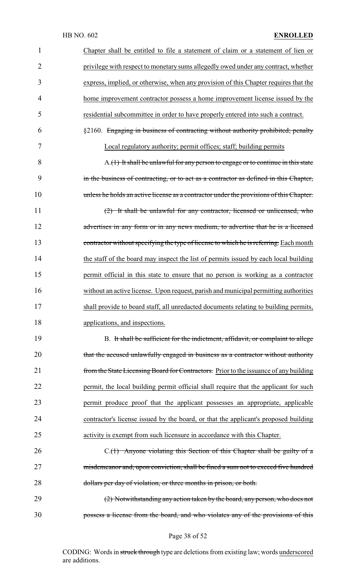| $\mathbf{1}$   | Chapter shall be entitled to file a statement of claim or a statement of lien or        |
|----------------|-----------------------------------------------------------------------------------------|
| $\overline{2}$ | privilege with respect to monetary sums allegedly owed under any contract, whether      |
| 3              | express, implied, or otherwise, when any provision of this Chapter requires that the    |
| 4              | home improvement contractor possess a home improvement license issued by the            |
| 5              | residential subcommittee in order to have properly entered into such a contract.        |
| 6              | §2160. Engaging in business of contracting without authority prohibited; penalty        |
| 7              | Local regulatory authority; permit offices; staff; building permits                     |
| 8              | A.(1) It shall be unlawful for any person to engage or to continue in this state        |
| 9              | in the business of contracting, or to act as a contractor as defined in this Chapter,   |
| 10             | unless he holds an active license as a contractor under the provisions of this Chapter. |
| 11             | (2) It shall be unlawful for any contractor, licensed or unlicensed, who                |
| 12             | advertises in any form or in any news medium, to advertise that he is a licensed        |
| 13             | contractor without specifying the type of license to which he is referring. Each month  |
| 14             | the staff of the board may inspect the list of permits issued by each local building    |
| 15             | permit official in this state to ensure that no person is working as a contractor       |
| 16             | without an active license. Upon request, parish and municipal permitting authorities    |
| 17             | shall provide to board staff, all unredacted documents relating to building permits,    |
| 18             | applications, and inspections.                                                          |
| 19             | B. It shall be sufficient for the indictment, affidavit, or complaint to allege         |
| 20             | that the accused unlawfully engaged in business as a contractor without authority       |
| 21             | from the State Licensing Board for Contractors. Prior to the issuance of any building   |
| 22             | permit, the local building permit official shall require that the applicant for such    |
| 23             | permit produce proof that the applicant possesses an appropriate, applicable            |
| 24             | contractor's license issued by the board, or that the applicant's proposed building     |
| 25             | activity is exempt from such licensure in accordance with this Chapter.                 |
| 26             | C.(1) Anyone violating this Section of this Chapter shall be guilty of a                |
| 27             | misdemeanor and, upon conviction, shall be fined a sum not to exceed five hundred       |
| 28             | dollars per day of violation, or three months in prison, or both.                       |
| 29             | (2) Notwithstanding any action taken by the board, any person, who does not             |
| 30             | possess a license from the board, and who violates any of the provisions of this        |
|                |                                                                                         |

Page 38 of 52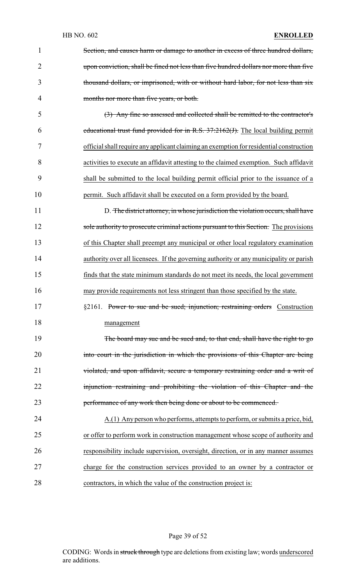| $\mathbf{1}$   | Section, and causes harm or damage to another in excess of three hundred dollars,       |
|----------------|-----------------------------------------------------------------------------------------|
| $\overline{2}$ | upon conviction, shall be fined not less than five hundred dollars nor more than five   |
| 3              | thousand dollars, or imprisoned, with or without hard labor, for not less than six      |
| $\overline{4}$ | months nor more than five years, or both.                                               |
| 5              | (3) Any fine so assessed and collected shall be remitted to the contractor's            |
| 6              | educational trust fund provided for in R.S. $37:2162(f)$ . The local building permit    |
| 7              | official shall require any applicant claiming an exemption for residential construction |
| 8              | activities to execute an affidavit attesting to the claimed exemption. Such affidavit   |
| 9              | shall be submitted to the local building permit official prior to the issuance of a     |
| 10             | permit. Such affidavit shall be executed on a form provided by the board.               |
| 11             | D. The district attorney, in whose jurisdiction the violation occurs, shall have        |
| 12             | sole authority to prosecute criminal actions pursuant to this Section. The provisions   |
| 13             | of this Chapter shall preempt any municipal or other local regulatory examination       |
| 14             | authority over all licensees. If the governing authority or any municipality or parish  |
| 15             | finds that the state minimum standards do not meet its needs, the local government      |
| 16             | may provide requirements not less stringent than those specified by the state.          |
| 17             | §2161. Power to sue and be sued; injunction; restraining orders Construction            |
| 18             | management                                                                              |
| 19             | The board may sue and be sued and, to that end, shall have the right to go              |
| 20             | into court in the jurisdiction in which the provisions of this Chapter are being        |
| 21             | violated, and upon affidavit, secure a temporary restraining order and a writ of        |
| 22             | injunction restraining and prohibiting the violation of this Chapter and the            |
| 23             | performance of any work then being done or about to be commenced.                       |
| 24             | A.(1) Any person who performs, attempts to perform, or submits a price, bid,            |
| 25             | or offer to perform work in construction management whose scope of authority and        |
| 26             | responsibility include supervision, oversight, direction, or in any manner assumes      |
| 27             | charge for the construction services provided to an owner by a contractor or            |
| 28             | contractors, in which the value of the construction project is:                         |

Page 39 of 52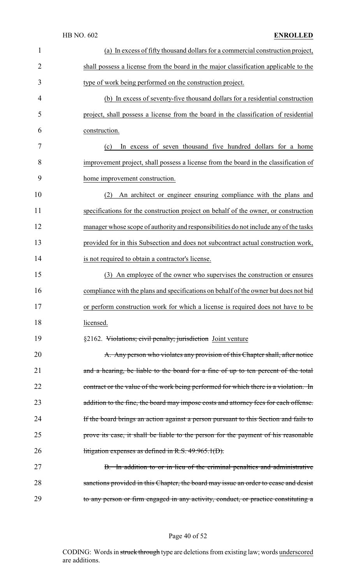|    | HB NO. 602<br><b>ENROLLED</b>                                                         |
|----|---------------------------------------------------------------------------------------|
| 1  | (a) In excess of fifty thousand dollars for a commercial construction project,        |
| 2  | shall possess a license from the board in the major classification applicable to the  |
| 3  | type of work being performed on the construction project.                             |
| 4  | (b) In excess of seventy-five thousand dollars for a residential construction         |
| 5  | project, shall possess a license from the board in the classification of residential  |
| 6  | construction.                                                                         |
| 7  | In excess of seven thousand five hundred dollars for a home<br>(c)                    |
| 8  | improvement project, shall possess a license from the board in the classification of  |
| 9  | home improvement construction.                                                        |
| 10 | An architect or engineer ensuring compliance with the plans and<br>(2)                |
| 11 | specifications for the construction project on behalf of the owner, or construction   |
| 12 | manager whose scope of authority and responsibilities do not include any of the tasks |
| 13 | provided for in this Subsection and does not subcontract actual construction work,    |
| 14 | is not required to obtain a contractor's license.                                     |
| 15 | (3) An employee of the owner who supervises the construction or ensures               |
| 16 | compliance with the plans and specifications on behalf of the owner but does not bid  |
| 17 | or perform construction work for which a license is required does not have to be      |
| 18 | licensed.                                                                             |
| 19 | §2162. Violations; civil penalty; jurisdiction Joint venture                          |
| 20 | A. Any person who violates any provision of this Chapter shall, after notice          |
| 21 | and a hearing, be liable to the board for a fine of up to ten percent of the total    |
| 22 | contract or the value of the work being performed for which there is a violation. In  |
| 23 | addition to the fine, the board may impose costs and attorney fees for each offense.  |
| 24 | If the board brings an action against a person pursuant to this Section and fails to  |
| 25 | prove its case, it shall be liable to the person for the payment of his reasonable    |
| 26 | litigation expenses as defined in R.S. $49:965.1(D)$ .                                |
| 27 | B. In addition to or in lieu of the criminal penalties and administrative             |
| 28 | sanctions provided in this Chapter, the board may issue an order to cease and desist  |
| 29 | to any person or firm engaged in any activity, conduct, or practice constituting a    |

# Page 40 of 52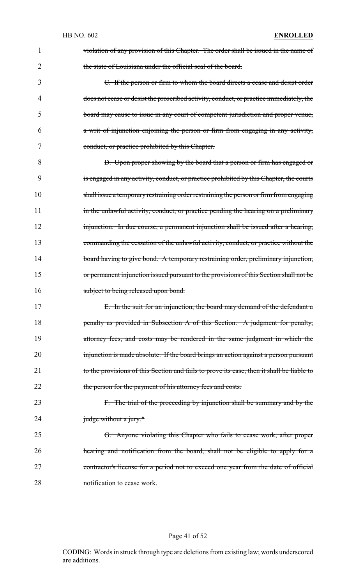| 1  | violation of any provision of this Chapter. The order shall be issued in the name of      |
|----|-------------------------------------------------------------------------------------------|
| 2  | the state of Louisiana under the official seal of the board.                              |
| 3  | C. If the person or firm to whom the board directs a cease and desist order               |
| 4  | does not cease or desist the proscribed activity, conduct, or practice immediately, the   |
| 5  | board may cause to issue in any court of competent jurisdiction and proper venue,         |
| 6  | a writ of injunction enjoining the person or firm from engaging in any activity,          |
| 7  | conduct, or practice prohibited by this Chapter.                                          |
| 8  | D. Upon proper showing by the board that a person or firm has engaged or                  |
| 9  | is engaged in any activity, conduct, or practice prohibited by this Chapter, the courts   |
| 10 | shall issue a temporary restraining order restraining the person or firm from engaging    |
| 11 | in the unlawful activity, conduct, or practice pending the hearing on a preliminary       |
| 12 | injunction. In due course, a permanent injunction shall be issued after a hearing,        |
| 13 | commanding the cessation of the unlawful activity, conduct, or practice without the       |
| 14 | board having to give bond. A temporary restraining order, preliminary injunction,         |
| 15 | or permanent injunction issued pursuant to the provisions of this Section shall not be    |
| 16 | subject to being released upon bond.                                                      |
| 17 | E. In the suit for an injunction, the board may demand of the defendant a                 |
| 18 | penalty as provided in Subsection A of this Section. A judgment for penalty,              |
| 19 | attorney fees, and costs may be rendered in the same judgment in which the                |
| 20 | injunction is made absolute. If the board brings an action against a person pursuant      |
| 21 | to the provisions of this Section and fails to prove its case, then it shall be liable to |
| 22 | the person for the payment of his attorney fees and costs.                                |
| 23 | F. The trial of the proceeding by injunction shall be summary and by the                  |
| 24 | judge without a jury.*                                                                    |
| 25 | G. Anyone violating this Chapter who fails to cease work, after proper                    |
| 26 | hearing and notification from the board, shall not be eligible to apply for a             |
| 27 | contractor's license for a period not to exceed one year from the date of official        |
| 28 | notification to cease work.                                                               |

# Page 41 of 52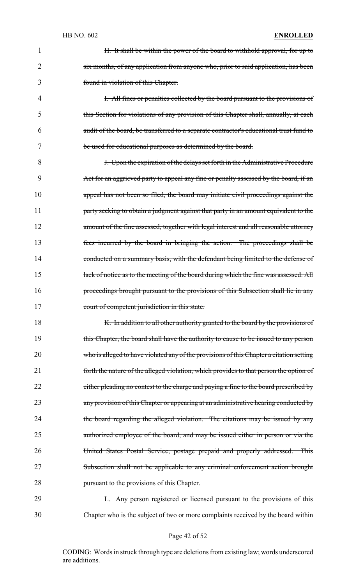1 H. It shall be within the power of the board to withhold approval, for up to 2 six months, of any application from anyone who, prior to said application, has been 3 found in violation of this Chapter.

4 I. All fines or penalties collected by the board pursuant to the provisions of 5 this Section for violations of any provision of this Chapter shall, annually, at each 6 audit of the board, be transferred to a separate contractor's educational trust fund to 7 be used for educational purposes as determined by the board.

8 **J.** Upon the expiration of the delays set forth in the Administrative Procedure 9 Act for an aggrieved party to appeal any fine or penalty assessed by the board, if an 10 appeal has not been so filed, the board may initiate civil proceedings against the 11 **party seeking to obtain a judgment against that party in an amount equivalent to the** 12 amount of the fine assessed, together with legal interest and all reasonable attorney 13 fees incurred by the board in bringing the action. The proceedings shall be 14 conducted on a summary basis, with the defendant being limited to the defense of 15 lack of notice as to the meeting of the board during which the fine was assessed. All 16 proceedings brought pursuant to the provisions of this Subsection shall lie in any 17 court of competent jurisdiction in this state.

18 K. In addition to all other authority granted to the board by the provisions of 19 this Chapter, the board shall have the authority to cause to be issued to any person 20 who is alleged to have violated any of the provisions of this Chapter a citation setting 21 forth the nature of the alleged violation, which provides to that person the option of 22 either pleading no contest to the charge and paying a fine to the board prescribed by 23 any provision of this Chapter or appearing at an administrative hearing conducted by 24 the board regarding the alleged violation. The citations may be issued by any 25 authorized employee of the board, and may be issued either in person or via the 26 United States Postal Service, postage prepaid and properly addressed. This 27 Subsection shall not be applicable to any criminal enforcement action brought 28 **pursuant to the provisions of this Chapter.** 

29 L. Any person registered or licensed pursuant to the provisions of this 30 Chapter who is the subject of two or more complaints received by the board within

#### Page 42 of 52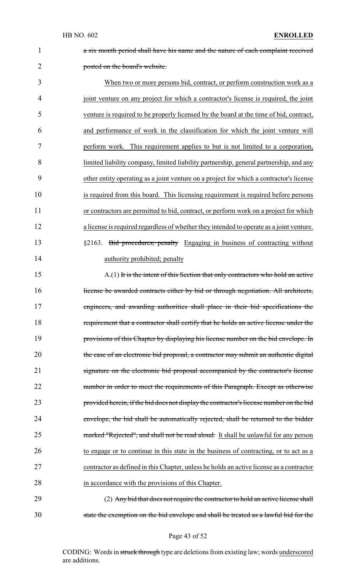a six month period shall have his name and the nature of each complaint received posted on the board's website.

 When two or more persons bid, contract, or perform construction work as a joint venture on any project for which a contractor's license is required, the joint venture is required to be properly licensed by the board at the time of bid, contract, and performance of work in the classification for which the joint venture will perform work. This requirement applies to but is not limited to a corporation, limited liability company, limited liability partnership, general partnership, and any other entity operating as a joint venture on a project for which a contractor's license is required from this board. This licensing requirement is required before persons or contractors are permitted to bid, contract, or perform work on a project for which a license is required regardless of whether they intended to operate as a joint venture. §2163. Bid procedures; penalty Engaging in business of contracting without

14 authority prohibited; penalty

 A.(1) It is the intent of this Section that only contractors who hold an active 16 license be awarded contracts either by bid or through negotiation. All architects, engineers, and awarding authorities shall place in their bid specifications the requirement that a contractor shall certify that he holds an active license under the provisions of this Chapter by displaying his license number on the bid envelope. In 20 the case of an electronic bid proposal, a contractor may submit an authentic digital signature on the electronic bid proposal accompanied by the contractor's license 22 number in order to meet the requirements of this Paragraph. Except as otherwise provided herein, if the bid does not display the contractor's license number on the bid envelope, the bid shall be automatically rejected, shall be returned to the bidder 25 marked "Rejected", and shall not be read aloud. It shall be unlawful for any person to engage or to continue in this state in the business of contracting, or to act as a contractor as defined in this Chapter, unless he holds an active license as a contractor in accordance with the provisions of this Chapter.

 (2) Any bid that does not require the contractor to hold an active license shall state the exemption on the bid envelope and shall be treated as a lawful bid for the

Page 43 of 52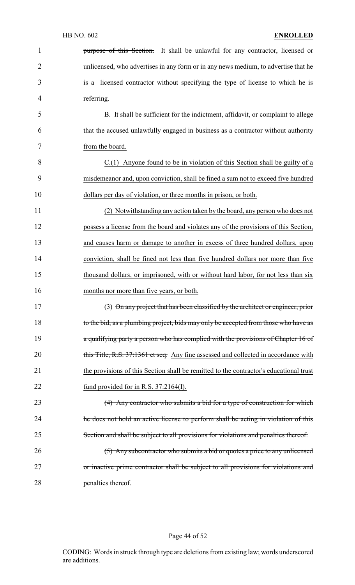| $\mathbf{1}$   | purpose of this Section. It shall be unlawful for any contractor, licensed or          |
|----------------|----------------------------------------------------------------------------------------|
| $\overline{2}$ | unlicensed, who advertises in any form or in any news medium, to advertise that he     |
| 3              | is a licensed contractor without specifying the type of license to which he is         |
| 4              | referring.                                                                             |
| 5              | B. It shall be sufficient for the indictment, affidavit, or complaint to allege        |
| 6              | that the accused unlawfully engaged in business as a contractor without authority      |
| 7              | from the board.                                                                        |
| 8              | $C(1)$ Anyone found to be in violation of this Section shall be guilty of a            |
| 9              | misdemeanor and, upon conviction, shall be fined a sum not to exceed five hundred      |
| 10             | dollars per day of violation, or three months in prison, or both.                      |
| 11             | (2) Notwithstanding any action taken by the board, any person who does not             |
| 12             | possess a license from the board and violates any of the provisions of this Section,   |
| 13             | and causes harm or damage to another in excess of three hundred dollars, upon          |
| 14             | conviction, shall be fined not less than five hundred dollars nor more than five       |
| 15             | thousand dollars, or imprisoned, with or without hard labor, for not less than six     |
| 16             | months nor more than five years, or both.                                              |
| 17             | (3) On any project that has been classified by the architect or engineer, prior        |
| 18             | to the bid, as a plumbing project, bids may only be accepted from those who have as    |
| 19             | a qualifying party a person who has complied with the provisions of Chapter 16 of      |
| 20             | this Title, R.S. 37:1361 et seq. Any fine assessed and collected in accordance with    |
| 21             | the provisions of this Section shall be remitted to the contractor's educational trust |
| 22             | fund provided for in R.S. $37:2164(I)$ .                                               |
| 23             | (4) Any contractor who submits a bid for a type of construction for which              |
| 24             | the does not hold an active license to perform shall be acting in violation of this    |
| 25             | Section and shall be subject to all provisions for violations and penalties thereof.   |
| 26             | (5) Any subcontractor who submits a bid or quotes a price to any unlicensed            |
| 27             | or inactive prime contractor shall be subject to all provisions for violations and     |
| 28             | penalties thereof.                                                                     |

# Page 44 of 52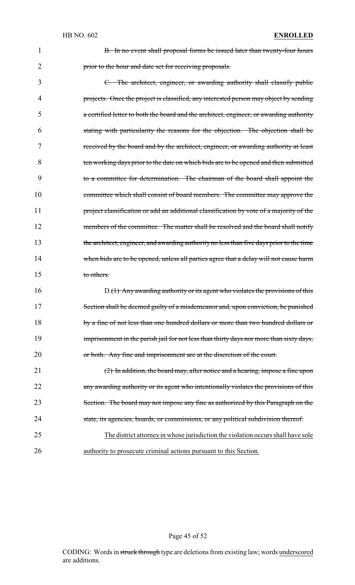1 **B.** In no event shall proposal forms be issued later than twenty-four hours 2 **prior to the hour and date set for receiving proposals.** 

 C. The architect, engineer, or awarding authority shall classify public projects. Once the project is classified, any interested person may object by sending a certified letter to both the board and the architect, engineer, or awarding authority stating with particularity the reasons for the objection. The objection shall be received by the board and by the architect, engineer, or awarding authority at least ten working days prior to the date on which bids are to be opened and then submitted to a committee for determination. The chairman of the board shall appoint the committee which shall consist of board members. The committee may approve the 11 project classification or add an additional classification by vote of a majority of the 12 members of the committee. The matter shall be resolved and the board shall notify the architect, engineer, and awarding authority no less than five days prior to the time 14 when bids are to be opened, unless all parties agree that a delay will not cause harm to others.

16 D.(1) Any awarding authority or its agent who violates the provisions of this 17 Section shall be deemed guilty of a misdemeanor and, upon conviction, be punished 18 by a fine of not less than one hundred dollars or more than two hundred dollars or 19 imprisonment in the parish jail for not less than thirty days nor more than sixty days, 20 or both. Any fine and imprisonment are at the discretion of the court.

 (2) In addition, the board may, after notice and a hearing, impose a fine upon 22 any awarding authority or its agent who intentionally violates the provisions of this Section. The board may not impose any fine as authorized by this Paragraph on the state, its agencies, boards, or commissions, or any political subdivision thereof.

25 The district attorneyin whose jurisdiction the violation occurs shall have sole 26 authority to prosecute criminal actions pursuant to this Section.

### Page 45 of 52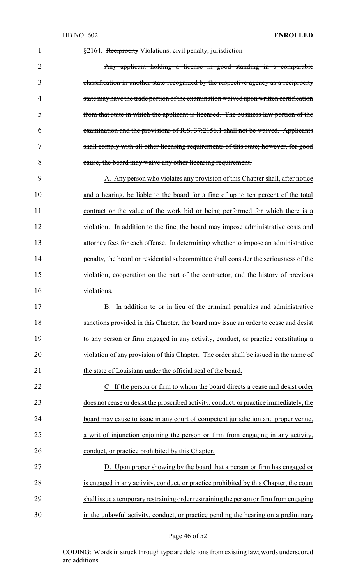| $\mathbf{1}$   | §2164. Reciprocity Violations; civil penalty; jurisdiction                              |
|----------------|-----------------------------------------------------------------------------------------|
| $\overline{2}$ | Any applicant holding a license in good standing in a comparable                        |
| 3              | classification in another state recognized by the respective agency as a reciprocity    |
| 4              | state may have the trade portion of the examination waived upon written certification   |
| 5              | from that state in which the applicant is licensed. The business law portion of the     |
| 6              | examination and the provisions of R.S. 37:2156.1 shall not be waived. Applicants        |
| 7              | shall comply with all other licensing requirements of this state; however, for good     |
| 8              | cause, the board may waive any other licensing requirement.                             |
| 9              | A. Any person who violates any provision of this Chapter shall, after notice            |
| 10             | and a hearing, be liable to the board for a fine of up to ten percent of the total      |
| 11             | contract or the value of the work bid or being performed for which there is a           |
| 12             | violation. In addition to the fine, the board may impose administrative costs and       |
| 13             | attorney fees for each offense. In determining whether to impose an administrative      |
| 14             | penalty, the board or residential subcommittee shall consider the seriousness of the    |
| 15             | violation, cooperation on the part of the contractor, and the history of previous       |
| 16             | violations.                                                                             |
| 17             | B. In addition to or in lieu of the criminal penalties and administrative               |
| 18             | sanctions provided in this Chapter, the board may issue an order to cease and desist    |
| 19             | to any person or firm engaged in any activity, conduct, or practice constituting a      |
| 20             | violation of any provision of this Chapter. The order shall be issued in the name of    |
| 21             | the state of Louisiana under the official seal of the board.                            |
| 22             | C. If the person or firm to whom the board directs a cease and desist order             |
| 23             | does not cease or desist the proscribed activity, conduct, or practice immediately, the |
| 24             | board may cause to issue in any court of competent jurisdiction and proper venue,       |
| 25             | a writ of injunction enjoining the person or firm from engaging in any activity,        |
| 26             | conduct, or practice prohibited by this Chapter.                                        |
| 27             | D. Upon proper showing by the board that a person or firm has engaged or                |
| 28             | is engaged in any activity, conduct, or practice prohibited by this Chapter, the court  |
| 29             | shall issue a temporary restraining order restraining the person or firm from engaging  |
| 30             | in the unlawful activity, conduct, or practice pending the hearing on a preliminary     |

# Page 46 of 52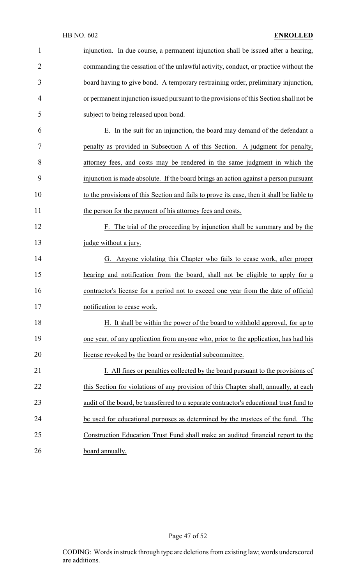| $\mathbf{1}$   | injunction. In due course, a permanent injunction shall be issued after a hearing,        |
|----------------|-------------------------------------------------------------------------------------------|
| $\overline{2}$ | commanding the cessation of the unlawful activity, conduct, or practice without the       |
| 3              | board having to give bond. A temporary restraining order, preliminary injunction,         |
| 4              | or permanent injunction issued pursuant to the provisions of this Section shall not be    |
| 5              | subject to being released upon bond.                                                      |
| 6              | E. In the suit for an injunction, the board may demand of the defendant a                 |
| 7              | penalty as provided in Subsection A of this Section. A judgment for penalty,              |
| 8              | attorney fees, and costs may be rendered in the same judgment in which the                |
| 9              | injunction is made absolute. If the board brings an action against a person pursuant      |
| 10             | to the provisions of this Section and fails to prove its case, then it shall be liable to |
| 11             | the person for the payment of his attorney fees and costs.                                |
| 12             | F. The trial of the proceeding by injunction shall be summary and by the                  |
| 13             | judge without a jury.                                                                     |
| 14             | G. Anyone violating this Chapter who fails to cease work, after proper                    |
| 15             | hearing and notification from the board, shall not be eligible to apply for a             |
| 16             | contractor's license for a period not to exceed one year from the date of official        |
| 17             | notification to cease work.                                                               |
| 18             | H. It shall be within the power of the board to withhold approval, for up to              |
| 19             | one year, of any application from anyone who, prior to the application, has had his       |
| 20             | license revoked by the board or residential subcommittee.                                 |
| 21             | I. All fines or penalties collected by the board pursuant to the provisions of            |
| 22             | this Section for violations of any provision of this Chapter shall, annually, at each     |
| 23             | audit of the board, be transferred to a separate contractor's educational trust fund to   |
| 24             | be used for educational purposes as determined by the trustees of the fund. The           |
| 25             | Construction Education Trust Fund shall make an audited financial report to the           |
| 26             | board annually.                                                                           |

Page 47 of 52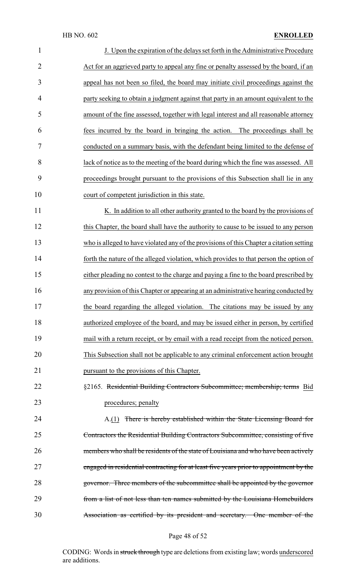| $\mathbf{1}$   | J. Upon the expiration of the delays set forth in the Administrative Procedure           |
|----------------|------------------------------------------------------------------------------------------|
| $\overline{2}$ | Act for an aggrieved party to appeal any fine or penalty assessed by the board, if an    |
| 3              | appeal has not been so filed, the board may initiate civil proceedings against the       |
| $\overline{4}$ | party seeking to obtain a judgment against that party in an amount equivalent to the     |
| 5              | amount of the fine assessed, together with legal interest and all reasonable attorney    |
| 6              | fees incurred by the board in bringing the action. The proceedings shall be              |
| 7              | conducted on a summary basis, with the defendant being limited to the defense of         |
| 8              | lack of notice as to the meeting of the board during which the fine was assessed. All    |
| 9              | proceedings brought pursuant to the provisions of this Subsection shall lie in any       |
| 10             | court of competent jurisdiction in this state.                                           |
| 11             | K. In addition to all other authority granted to the board by the provisions of          |
| 12             | this Chapter, the board shall have the authority to cause to be issued to any person     |
| 13             | who is alleged to have violated any of the provisions of this Chapter a citation setting |
| 14             | forth the nature of the alleged violation, which provides to that person the option of   |
| 15             | either pleading no contest to the charge and paying a fine to the board prescribed by    |
| 16             | any provision of this Chapter or appearing at an administrative hearing conducted by     |
| 17             | the board regarding the alleged violation. The citations may be issued by any            |
| 18             | authorized employee of the board, and may be issued either in person, by certified       |
| 19             | mail with a return receipt, or by email with a read receipt from the noticed person.     |
| 20             | This Subsection shall not be applicable to any criminal enforcement action brought       |
| 21             | pursuant to the provisions of this Chapter.                                              |
| 22             | §2165. Residential Building Contractors Subcommittee; membership; terms Bid              |
| 23             | procedures; penalty                                                                      |
| 24             | A.(1) There is hereby established within the State Licensing Board for                   |
| 25             | Contractors the Residential Building Contractors Subcommittee, consisting of five        |
| 26             | members who shall be residents of the state of Louisiana and who have been actively      |
| 27             | engaged in residential contracting for at least five years prior to appointment by the   |
| 28             | governor. Three members of the subcommittee shall be appointed by the governor           |
| 29             | from a list of not less than ten names submitted by the Louisiana Homebuilders           |
| 30             | Association as certified by its president and secretary. One member of the               |

Page 48 of 52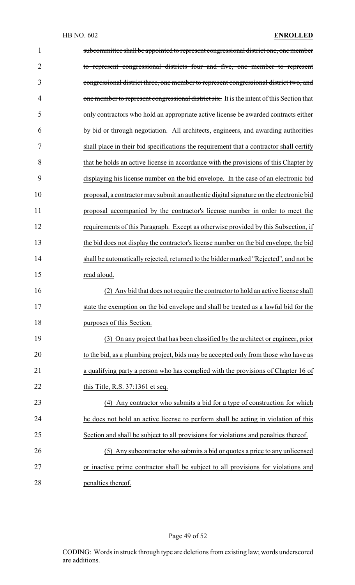| $\mathbf{1}$   | subcommittee shall be appointed to represent congressional district one, one member       |
|----------------|-------------------------------------------------------------------------------------------|
| $\overline{2}$ | to represent congressional districts four and five, one member to represent               |
| 3              | congressional district three, one member to represent congressional district two, and     |
| $\overline{4}$ | one member to represent congressional district six. It is the intent of this Section that |
| 5              | only contractors who hold an appropriate active license be awarded contracts either       |
| 6              | by bid or through negotiation. All architects, engineers, and awarding authorities        |
| 7              | shall place in their bid specifications the requirement that a contractor shall certify   |
| 8              | that he holds an active license in accordance with the provisions of this Chapter by      |
| 9              | displaying his license number on the bid envelope. In the case of an electronic bid       |
| 10             | proposal, a contractor may submit an authentic digital signature on the electronic bid    |
| 11             | proposal accompanied by the contractor's license number in order to meet the              |
| 12             | requirements of this Paragraph. Except as otherwise provided by this Subsection, if       |
| 13             | the bid does not display the contractor's license number on the bid envelope, the bid     |
| 14             | shall be automatically rejected, returned to the bidder marked "Rejected", and not be     |
| 15             | read aloud.                                                                               |
| 16             | (2) Any bid that does not require the contractor to hold an active license shall          |
| 17             | state the exemption on the bid envelope and shall be treated as a lawful bid for the      |
| 18             | purposes of this Section.                                                                 |
| 19             | (3) On any project that has been classified by the architect or engineer, prior           |
| 20             | to the bid, as a plumbing project, bids may be accepted only from those who have as       |
| 21             | a qualifying party a person who has complied with the provisions of Chapter 16 of         |
| 22             | this Title, R.S. $37:1361$ et seq.                                                        |
| 23             | (4) Any contractor who submits a bid for a type of construction for which                 |
| 24             | he does not hold an active license to perform shall be acting in violation of this        |
| 25             | Section and shall be subject to all provisions for violations and penalties thereof.      |
| 26             | (5) Any subcontractor who submits a bid or quotes a price to any unlicensed               |
| 27             | or inactive prime contractor shall be subject to all provisions for violations and        |
| 28             | penalties thereof.                                                                        |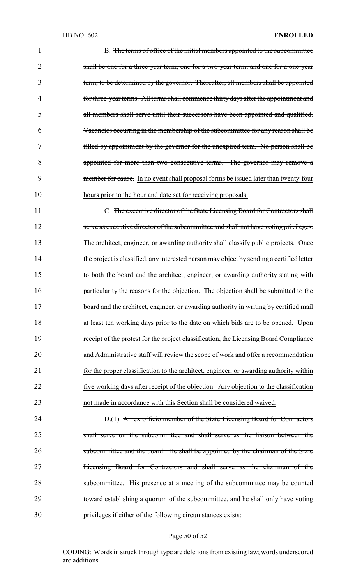| $\mathbf{1}$   | B. The terms of office of the initial members appointed to the subcommittee               |
|----------------|-------------------------------------------------------------------------------------------|
| $\overline{2}$ | shall be one for a three-year term, one for a two-year term, and one for a one-year       |
| 3              | term, to be determined by the governor. Thereafter, all members shall be appointed        |
| 4              | for three-year terms. All terms shall commence thirty days after the appointment and      |
| 5              | all members shall serve until their successors have been appointed and qualified.         |
| 6              | Vacancies occurring in the membership of the subcommittee for any reason shall be         |
| 7              | filled by appointment by the governor for the unexpired term. No person shall be          |
| 8              | appointed for more than two consecutive terms. The governor may remove a                  |
| 9              | member for cause. In no event shall proposal forms be issued later than twenty-four       |
| 10             | hours prior to the hour and date set for receiving proposals.                             |
| 11             | C. The executive director of the State Licensing Board for Contractors shall              |
| 12             | serve as executive director of the subcommittee and shall not have voting privileges.     |
| 13             | The architect, engineer, or awarding authority shall classify public projects. Once       |
| 14             | the project is classified, any interested person may object by sending a certified letter |
| 15             | to both the board and the architect, engineer, or awarding authority stating with         |
| 16             | particularity the reasons for the objection. The objection shall be submitted to the      |
| 17             | board and the architect, engineer, or awarding authority in writing by certified mail     |
| 18             | at least ten working days prior to the date on which bids are to be opened. Upon          |
| 19             | receipt of the protest for the project classification, the Licensing Board Compliance     |
| 20             | and Administrative staff will review the scope of work and offer a recommendation         |
| 21             | for the proper classification to the architect, engineer, or awarding authority within    |
| 22             | five working days after receipt of the objection. Any objection to the classification     |
| 23             | not made in accordance with this Section shall be considered waived.                      |
| 24             | D.(1) An ex officio member of the State Licensing Board for Contractors                   |

 shall serve on the subcommittee and shall serve as the liaison between the 26 subcommittee and the board. He shall be appointed by the chairman of the State Licensing Board for Contractors and shall serve as the chairman of the 28 subcommittee. His presence at a meeting of the subcommittee may be counted toward establishing a quorum of the subcommittee, and he shall only have voting privileges if either of the following circumstances exists:

### Page 50 of 52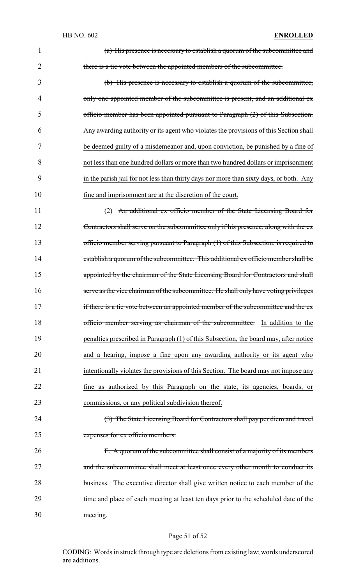| $\overline{2}$ | there is a tie vote between the appointed members of the subcommittee.                    |
|----------------|-------------------------------------------------------------------------------------------|
| 3              | (b) His presence is necessary to establish a quorum of the subcommittee,                  |
| 4              | only one appointed member of the subcommittee is present, and an additional ex-           |
| 5              | officio member has been appointed pursuant to Paragraph (2) of this Subsection.           |
| 6              | Any awarding authority or its agent who violates the provisions of this Section shall     |
| 7              | be deemed guilty of a misdemeanor and, upon conviction, be punished by a fine of          |
| 8              | not less than one hundred dollars or more than two hundred dollars or imprisonment        |
| $\Omega$       | in Alexandrii isil Canna Alexa Alexa Alime dessana na maalismadeks dessa and la Alexandri |

 officio member has been appointed pursuant to Paragraph (2) of this Subsection. Any awarding authority or its agent who violates the provisions of this Section shall be deemed guilty of a misdemeanor and, upon conviction, be punished by a fine of not less than one hundred dollars or more than two hundred dollars or imprisonment in the parish jail for not less than thirty days nor more than sixty days, or both. Any fine and imprisonment are at the discretion of the court.

(a) His presence is necessary to establish a quorum of the subcommittee and

 (2) An additional ex officio member of the State Licensing Board for Contractors shall serve on the subcommittee only if his presence, along with the ex 13 officio member serving pursuant to Paragraph (1) of this Subsection, is required to 14 establish a quorum of the subcommittee. This additional ex officio member shall be 15 appointed by the chairman of the State Licensing Board for Contractors and shall serve as the vice chairman of the subcommittee. He shall only have voting privileges 17 if there is a tie vote between an appointed member of the subcommittee and the ex-18 officio member serving as chairman of the subcommittee. In addition to the penalties prescribed in Paragraph (1) of this Subsection, the board may, after notice and a hearing, impose a fine upon any awarding authority or its agent who intentionally violates the provisions of this Section. The board may not impose any fine as authorized by this Paragraph on the state, its agencies, boards, or commissions, or any political subdivision thereof.

 (3) The State Licensing Board for Contractors shall pay per diem and travel expenses for ex officio members.

 E. A quorum of the subcommittee shall consist of a majority of its members 27 and the subcommittee shall meet at least once every other month to conduct its 28 business. The executive director shall give written notice to each member of the 29 time and place of each meeting at least ten days prior to the scheduled date of the meeting.

#### Page 51 of 52